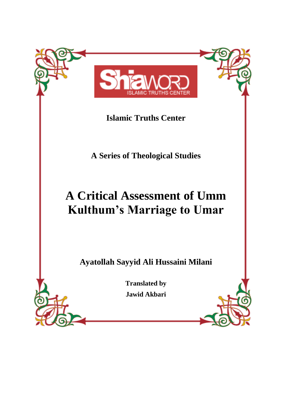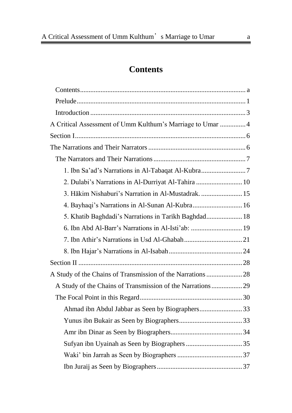## **Contents**

<span id="page-1-0"></span>

| A Critical Assessment of Umm Kulthum's Marriage to Umar  4 |  |
|------------------------------------------------------------|--|
|                                                            |  |
|                                                            |  |
|                                                            |  |
|                                                            |  |
| 2. Dulabi's Narrations in Al-Durriyat Al-Tahira  10        |  |
| 3. Hākim Nishaburi's Narration in Al-Mustadrak.  15        |  |
| 4. Bayhaqi's Narrations in Al-Sunan Al-Kubra 16            |  |
| 5. Khatib Baghdadi's Narrations in Tarikh Baghdad 18       |  |
| 6. Ibn Abd Al-Barr's Narrations in Al-Isti'ab:  19         |  |
|                                                            |  |
|                                                            |  |
|                                                            |  |
| A Study of the Chains of Transmission of the Narrations 28 |  |
| A Study of the Chains of Transmission of the Narrations29  |  |
|                                                            |  |
| Ahmad ibn Abdul Jabbar as Seen by Biographers33            |  |
|                                                            |  |
|                                                            |  |
|                                                            |  |
|                                                            |  |
|                                                            |  |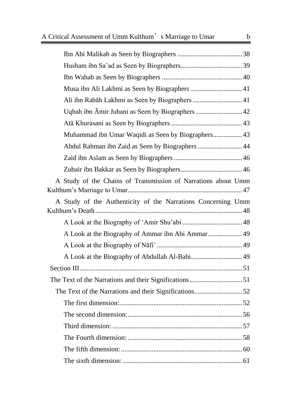| Abdul Rahman ibn Zaid as Seen by Biographers 44               |
|---------------------------------------------------------------|
|                                                               |
|                                                               |
| A Study of the Chains of Transmission of Narrations about Umm |
| A Study of the Authenticity of the Narrations Concerning Umm  |
|                                                               |
|                                                               |
|                                                               |
|                                                               |
| Section III<br>. 51                                           |
|                                                               |
|                                                               |
|                                                               |
|                                                               |
|                                                               |
|                                                               |
|                                                               |
|                                                               |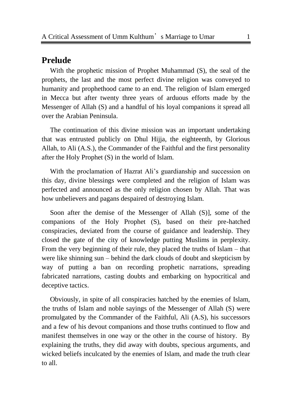## <span id="page-4-0"></span>**Prelude**

With the prophetic mission of Prophet Muhammad (S), the seal of the prophets, the last and the most perfect divine religion was conveyed to humanity and prophethood came to an end. The religion of Islam emerged in Mecca but after twenty three years of arduous efforts made by the Messenger of Allah (S) and a handful of his loyal companions it spread all over the Arabian Peninsula.

The continuation of this divine mission was an important undertaking that was entrusted publicly on Dhul Hijja, the eighteenth, by Glorious Allah, to Ali (A.S.), the Commander of the Faithful and the first personality after the Holy Prophet (S) in the world of Islam.

With the proclamation of Hazrat Ali's guardianship and succession on this day, divine blessings were completed and the religion of Islam was perfected and announced as the only religion chosen by Allah. That was how unbelievers and pagans despaired of destroying Islam.

Soon after the demise of the Messenger of Allah (S)], some of the companions of the Holy Prophet (S), based on their pre-hatched conspiracies, deviated from the course of guidance and leadership. They closed the gate of the city of knowledge putting Muslims in perplexity. From the very beginning of their rule, they placed the truths of Islam – that were like shinning sun – behind the dark clouds of doubt and skepticism by way of putting a ban on recording prophetic narrations, spreading fabricated narrations, casting doubts and embarking on hypocritical and deceptive tactics.

Obviously, in spite of all conspiracies hatched by the enemies of Islam, the truths of Islam and noble sayings of the Messenger of Allah (S) were promulgated by the Commander of the Faithful, Ali (A.S), his successors and a few of his devout companions and those truths continued to flow and manifest themselves in one way or the other in the course of history. By explaining the truths, they did away with doubts, specious arguments, and wicked beliefs inculcated by the enemies of Islam, and made the truth clear to all.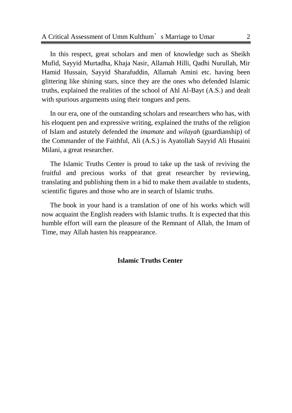In this respect, great scholars and men of knowledge such as Sheikh Mufid, Sayyid Murtadha, Khaja Nasir, Allamah Hilli, Qadhi Nurullah, Mir Hamid Hussain, Sayyid Sharafuddin, Allamah Amini etc. having been glittering like shining stars, since they are the ones who defended Islamic truths, explained the realities of the school of Ahl Al-Bayt (A.S.) and dealt with spurious arguments using their tongues and pens.

In our era, one of the outstanding scholars and researchers who has, with his eloquent pen and expressive writing, explained the truths of the religion of Islam and astutely defended the *imamate* and *wilayah* (guardianship) of the Commander of the Faithful, Ali (A.S.) is Ayatollah Sayyid Ali Husaini Milani, a great researcher.

The Islamic Truths Center is proud to take up the task of reviving the fruitful and precious works of that great researcher by reviewing, translating and publishing them in a bid to make them available to students, scientific figures and those who are in search of Islamic truths.

The book in your hand is a translation of one of his works which will now acquaint the English readers with Islamic truths. It is expected that this humble effort will earn the pleasure of the Remnant of Allah, the Imam of Time, may Allah hasten his reappearance.

#### **Islamic Truths Center**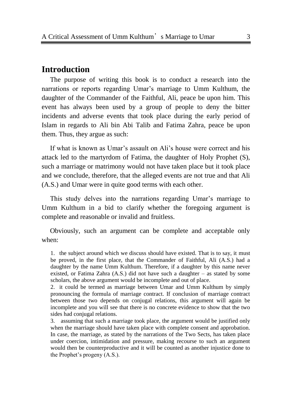### <span id="page-6-0"></span>**Introduction**

The purpose of writing this book is to conduct a research into the narrations or reports regarding Umar's marriage to Umm Kulthum, the daughter of the Commander of the Faithful, Ali, peace be upon him. This event has always been used by a group of people to deny the bitter incidents and adverse events that took place during the early period of Islam in regards to Ali bin Abi Talib and Fatima Zahra, peace be upon them. Thus, they argue as such:

If what is known as Umar's assault on Ali's house were correct and his attack led to the martyrdom of Fatima, the daughter of Holy Prophet (S), such a marriage or matrimony would not have taken place but it took place and we conclude, therefore, that the alleged events are not true and that Ali (A.S.) and Umar were in quite good terms with each other.

This study delves into the narrations regarding Umar's marriage to Umm Kulthum in a bid to clarify whether the foregoing argument is complete and reasonable or invalid and fruitless.

Obviously, such an argument can be complete and acceptable only when:

2. it could be termed as marriage between Umar and Umm Kulthum by simply pronouncing the formula of marriage contract. If conclusion of marriage contract between those two depends on conjugal relations, this argument will again be incomplete and you will see that there is no concrete evidence to show that the two sides had conjugal relations.

3. assuming that such a marriage took place, the argument would be justified only when the marriage should have taken place with complete consent and approbation. In case, the marriage, as stated by the narrations of the Two Sects, has taken place under coercion, intimidation and pressure, making recourse to such an argument would then be counterproductive and it will be counted as another injustice done to the Prophet's progeny (A.S.).

<sup>1.</sup> the subject around which we discuss should have existed. That is to say, it must be proved, in the first place, that the Commander of Faithful, Ali (A.S.) had a daughter by the name Umm Kulthum. Therefore, if a daughter by this name never existed, or Fatima Zahra (A.S.) did not have such a daughter – as stated by some scholars, the above argument would be incomplete and out of place.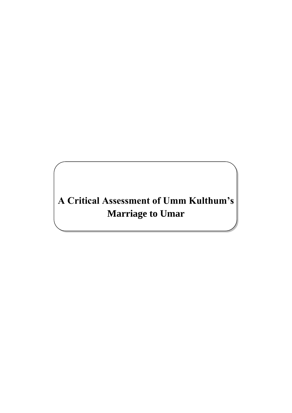# <span id="page-7-0"></span>**A Critical Assessment of Umm Kulthum's Marriage to Umar**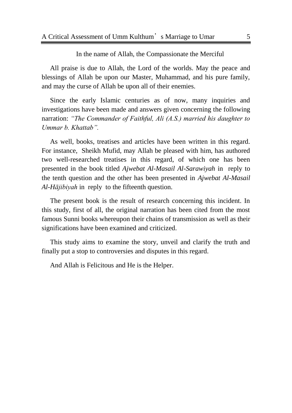In the name of Allah, the Compassionate the Merciful

All praise is due to Allah, the Lord of the worlds. May the peace and blessings of Allah be upon our Master, Muhammad, and his pure family, and may the curse of Allah be upon all of their enemies.

Since the early Islamic centuries as of now, many inquiries and investigations have been made and answers given concerning the following narration: *"The Commander of Faithful, Ali (A.S.) married his daughter to Ummar b. Khattab".*

As well, books, treatises and articles have been written in this regard. For instance, Sheikh Mufid, may Allah be pleased with him, has authored two well-researched treatises in this regard, of which one has been presented in the book titled *Ajwebat Al-Masail Al-Sarawiyah* in reply to the tenth question and the other has been presented in *Ajwebat Al-Masail Al-Hājibiyah* in reply to the fifteenth question.

The present book is the result of research concerning this incident. In this study, first of all, the original narration has been cited from the most famous Sunni books whereupon their chains of transmission as well as their significations have been examined and criticized.

This study aims to examine the story, unveil and clarify the truth and finally put a stop to controversies and disputes in this regard.

And Allah is Felicitous and He is the Helper.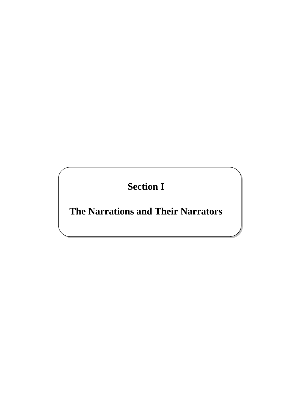**Section I**

<span id="page-9-1"></span><span id="page-9-0"></span>**The Narrations and Their Narrators**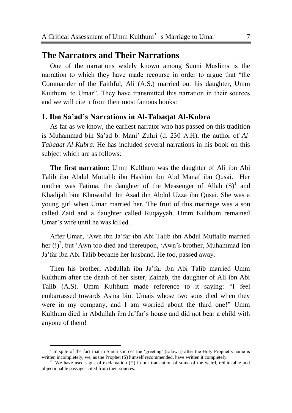## <span id="page-10-0"></span>**The Narrators and Their Narrations**

One of the narrations widely known among Sunni Muslims is the narration to which they have made recourse in order to argue that "the Commander of the Faithful, Ali (A.S.) married out his daughter, Umm Kulthum, to Umar". They have transmitted this narration in their sources and we will cite it from their most famous books:

### <span id="page-10-1"></span>**1. Ibn Sa'ad's Narrations in Al-Tabaqat Al-Kubra**

As far as we know, the earliest narrator who has passed on this tradition is Muhammad bin Sa'ad b. Mani' Zuhri (d. 230 A.H), the author of *Al-Tabaqat Al-Kubra.* He has included several narrations in his book on this subject which are as follows:

**The first narration:** Umm Kulthum was the daughter of Ali ibn Abi Talib ibn Abdul Muttalib ibn Hashim ibn Abd Manaf ibn Qusai. Her mother was Fatima, the daughter of the Messenger of Allah  $(S)^1$  and Khadijah bint Khuwailid ibn Asad ibn Abdul Uzza ibn Qusai. She was a young girl when Umar married her. The fruit of this marriage was a son called Zaid and a daughter called Ruqayyah. Umm Kulthum remained Umar's wife until he was killed.

After Umar, ‗Awn ibn Ja'far ibn Abi Talib ibn Abdul Muttalib married her  $(!)^2$ , but 'Awn too died and thereupon, 'Awn's brother, Muhammad ibn Ja'far ibn Abi Talib became her husband. He too, passed away.

Then his brother, Abdullah ibn Ja'far ibn Abi Talib married Umm Kulthum after the death of her sister, Zainab, the daughter of Ali ibn Abi Talib (A.S). Umm Kulthum made reference to it saying: "I feel embarrassed towards Asma bint Umais whose two sons died when they were in my company, and I am worried about the third one!" Umm Kulthum died in Abdullah ibn Ja'far's house and did not bear a child with anyone of them!

l

<sup>&</sup>lt;sup>1</sup> In spite of the fact that in Sunni sources the 'greeting' (salawat) after the Holy Prophet's name is written incompletely, we, as the Prophet (S) himself recommended, have written it completely.

<sup>&</sup>lt;sup>2</sup> We have used signs of exclamation (!!) in our translation of some of the weird, rethinkable and objectionable passages cited from their sources.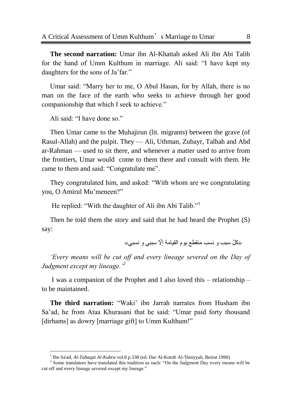**The second narration:** Umar ibn Al-Khattab asked Ali ibn Abi Talib for the hand of Umm Kulthum in marriage. Ali said: "I have kept my daughters for the sons of Ja'far."

Umar said: "Marry her to me, O Abul Hasan, for by Allah, there is no man on the face of the earth who seeks to achieve through her good companionship that which I seek to achieve."

Ali said: "I have done so."

 $\overline{a}$ 

Then Umar came to the Muhajirun (lit. migrants) between the grave (of Rasul-Allah) and the pulpit. They — Ali, Uthman, Zubayr, Talhah and Abd ar-Rahman — used to sit there, and whenever a matter used to arrive from the frontiers, Umar would come to them there and consult with them. He came to them and said: "Congratulate me".

They congratulated him, and asked: "With whom are we congratulating you, O Amirul Mu'meneen?"

He replied: "With the daughter of Ali ibn Abi Talib."<sup>1</sup>

Then he told them the story and said that he had heard the Prophet (S) say:

«كُلّ سبب و ِ نسب منقطع يوم القيامة إلّا سببي و ِ نسبي»

*"Every means will be cut off and every lineage severed on the Day of Judgment except my lineage."<sup>2</sup>*

I was a companion of the Prophet and I also loved this – relationship – to be maintained.

**The third narration:** "Waki" ibn Jarrah narrates from Husham ibn Sa'ad, he from Ataa Khurasani that he said: "Umar paid forty thousand [dirhams] as dowry [marriage gift] to Umm Kulthum!"

<sup>&</sup>lt;sup>1</sup> Ibn Sa'ad, *Al-Tabaqat Al-Kubra* vol.8 p.338 (ed. Dar Al-Kotob Al-'Ilmiyyah, Beirut 1990)

 $2^2$  Some translators have translated this tradition as such: "On the Judgment Day every means will be cut off and every lineage severed except my lineage."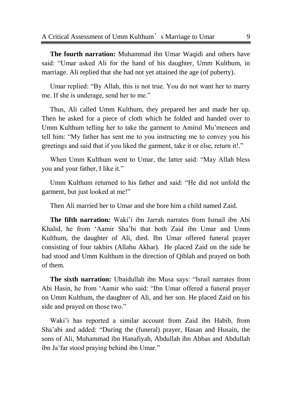**The fourth narration:** Muhammad ibn Umar Waqidi and others have said: "Umar asked Ali for the hand of his daughter, Umm Kulthum, in marriage. Ali replied that she had not yet attained the age (of puberty).

Umar replied: "By Allah, this is not true. You do not want her to marry me. If she is underage, send her to me."

Thus, Ali called Umm Kulthum, they prepared her and made her up. Then he asked for a piece of cloth which he folded and handed over to Umm Kulthum telling her to take the garment to Amirul Mu'meneen and tell him: "My father has sent me to you instructing me to convey you his greetings and said that if you liked the garment, take it or else, return it!."

When Umm Kulthum went to Umar, the latter said: "May Allah bless you and your father, I like it."

Umm Kulthum returned to his father and said: "He did not unfold the garment, but just looked at me!"

Then Ali married her to Umar and she bore him a child named Zaid.

**The fifth narration***:* Waki'i ibn Jarrah narrates from Ismail ibn Abi Khalid, he from ‗Aamir Sha'bi that both Zaid ibn Umar and Umm Kulthum, the daughter of Ali, died. Ibn Umar offered funeral prayer consisting of four takbirs (Allahu Akbar). He placed Zaid on the side he had stood and Umm Kulthum in the direction of Qiblah and prayed on both of them.

**The sixth narration:** Ubaidullah ibn Musa says: "Israil narrates from Abi Hasin, he from 'Aamir who said: "Ibn Umar offered a funeral prayer on Umm Kulthum, the daughter of Ali, and her son. He placed Zaid on his side and prayed on those two."

Waki'i has reported a similar account from Zaid ibn Habib, from Sha'abi and added: "During the (funeral) prayer, Hasan and Husain, the sons of Ali, Muhammad ibn Hanafiyah, Abdullah ibn Abbas and Abdullah ibn Ja'far stood praying behind ibn Umar."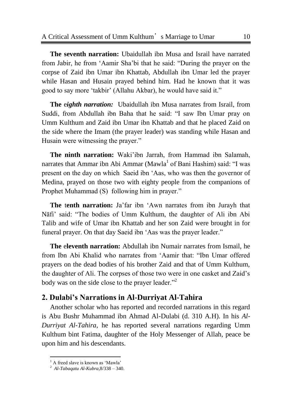**The seventh narration:** Ubaidullah ibn Musa and Israil have narrated from Jabir, he from 'Aamir Sha'bi that he said: "During the prayer on the corpse of Zaid ibn Umar ibn Khattab, Abdullah ibn Umar led the prayer while Hasan and Husain prayed behind him. Had he known that it was good to say more 'takbir' (Allahu Akbar), he would have said it."

**The** e*ighth narration:* Ubaidullah ibn Musa narrates from Israil, from Suddi, from Abdullah ibn Baha that he said: "I saw Ibn Umar pray on Umm Kulthum and Zaid ibn Umar ibn Khattab and that he placed Zaid on the side where the Imam (the prayer leader) was standing while Hasan and Husain were witnessing the prayer."

**The ninth narration:** Waki'ibn Jarrah, from Hammad ibn Salamah, narrates that Ammar ibn Abi Ammar (Mawla<sup>1</sup> of Bani Hashim) said: "I was present on the day on which Saeid ibn 'Aas, who was then the governor of Medina, prayed on those two with eighty people from the companions of Prophet Muhammad (S) following him in prayer."

**The tenth narration:** Ja'far ibn 'Awn narrates from ibn Jurayh that Nāfi' said: "The bodies of Umm Kulthum, the daughter of Ali ibn Abi Talib and wife of Umar ibn Khattab and her son Zaid were brought in for funeral prayer. On that day Saeid ibn 'Aas was the prayer leader."

**The** e**leventh narration:** Abdullah ibn Numair narrates from Ismail, he from Ibn Abi Khalid who narrates from 'Aamir that: "Ibn Umar offered prayers on the dead bodies of his brother Zaid and that of Umm Kulthum, the daughter of Ali. The corpses of those two were in one casket and Zaid's body was on the side close to the prayer leader."<sup>2</sup>

## <span id="page-13-0"></span>**2. Dulabi's Narrations in Al-Durriyat Al-Tahira**

Another scholar who has reported and recorded narrations in this regard is Abu Bushr Muhammad ibn Ahmad Al-Dulabi (d. 310 A.H). In his *Al-Durriyat Al-Tahira*, he has reported several narrations regarding Umm Kulthum bint Fatima, daughter of the Holy Messenger of Allah, peace be upon him and his descendants.

 $\overline{a}$ 

<sup>1</sup> A freed slave is known as ‗Mawla'

<sup>2</sup> *Al-Tabaqatu Al-Kubra,*8/338 – 340.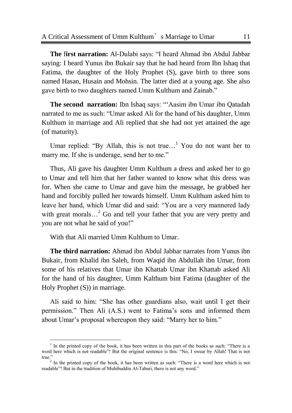**The first narration:** Al-Dulabi says: "I heard Ahmad ibn Abdul Jabbar saying: I heard Yunus ibn Bukair say that he had heard from Ibn Ishaq that Fatima, the daughter of the Holy Prophet (S), gave birth to three sons named Hasan, Husain and Mohsin. The latter died at a young age. She also gave birth to two daughters named Umm Kulthum and Zainab."

**The second narration:** Ibn Ishaq says: "Aasim ibn Umar ibn Oatadah narrated to me as such: "Umar asked Ali for the hand of his daughter, Umm Kulthum in marriage and Ali replied that she had not yet attained the age (of maturity).

Umar replied: "By Allah, this is not true...<sup>1</sup> You do not want her to marry me. If she is underage, send her to me."

Thus, Ali gave his daughter Umm Kulthum a dress and asked her to go to Umar and tell him that her father wanted to know what this dress was for. When she came to Umar and gave him the message, he grabbed her hand and forcibly pulled her towards himself. Umm Kulthum asked him to leave her hand, which Umar did and said: "You are a very mannered lady with great morals...<sup>2</sup> Go and tell your father that you are very pretty and you are not what he said of you!"

With that Ali married Umm Kulthum to Umar.

 $\overline{a}$ 

**The third narration:** Ahmad ibn Abdul Jabbar narrates from Yunus ibn Bukair, from Khalid ibn Saleh, from Waqid ibn Abdullah ibn Umar, from some of his relatives that Umar ibn Khattab Umar ibn Khattab asked Ali for the hand of his daughter, Umm Kalthum bint Fatima (daughter of the Holy Prophet (S)) in marriage.

Ali said to him: "She has other guardians also, wait until I get their permission.‖ Then Ali (A.S.) went to Fatima's sons and informed them about Umar's proposal whereupon they said: "Marry her to him."

<sup>1</sup> In the printed copy of the book, it has been written in this part of the books as such: "There is a word here which is not readable"! But the original sentence is this: "No, I swear by Allah! That is not true."

 $2$  In the printed copy of the book, it has been written as such: "There is a word here which is not readable"! But in the tradition of Muhibuddin Al-Tabari, there is not any word."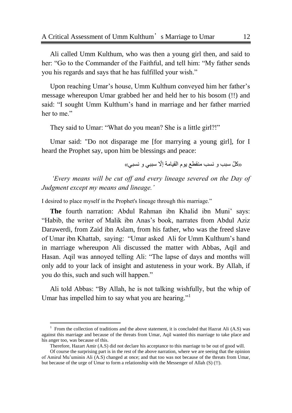Ali called Umm Kulthum, who was then a young girl then, and said to her: "Go to the Commander of the Faithful, and tell him: "My father sends you his regards and says that he has fulfilled your wish."

Upon reaching Umar's house, Umm Kulthum conveyed him her father's message whereupon Umar grabbed her and held her to his bosom (!!) and said: "I sought Umm Kulthum's hand in marriage and her father married her to me."

They said to Umar: "What do you mean? She is a little girl?!"

Umar said: "Do not disparage me [for marrying a young girl], for I heard the Prophet say, upon him be blessings and peace:

«كلّ سبب و نسب منقطع يوم القيامة إلّا سببي و نسبي»

*"Every means will be cut off and every lineage severed on the Day of Judgment except my means and lineage."*

I desired to place myself in the Prophet's lineage through this marriage."

**The** fourth narration: Abdul Rahman ibn Khalid ibn Muni' says: "Habib, the writer of Malik ibn Anas's book, narrates from Abdul Aziz Darawerdi, from Zaid ibn Aslam, from his father, who was the freed slave of Umar ibn Khattab, saying: "Umar asked Ali for Umm Kulthum's hand in marriage whereupon Ali discussed the matter with Abbas, Aqil and Hasan. Aqil was annoyed telling Ali: "The lapse of days and months will only add to your lack of insight and astuteness in your work. By Allah, if you do this, such and such will happen."

Ali told Abbas: "By Allah, he is not talking wishfully, but the whip of Umar has impelled him to say what you are hearing."<sup>1</sup>

 $\overline{a}$ 

<sup>1</sup> From the collection of traditions and the above statement, it is concluded that Hazrat Ali (A.S) was against this marriage and because of the threats from Umar, Aqil wanted this marriage to take place and his anger too, was because of this.

Therefore, Hazart Amir (A.S) did not declare his acceptance to this marriage to be out of good will.

Of course the surprising part is in the rest of the above narration, where we are seeing that the opinion of Amirul Mu'uminin Ali (A.S) changed at once; and that too was not because of the threats from Umar, but because of the urge of Umar to form a relationship with the Messenger of Allah (S) (!!).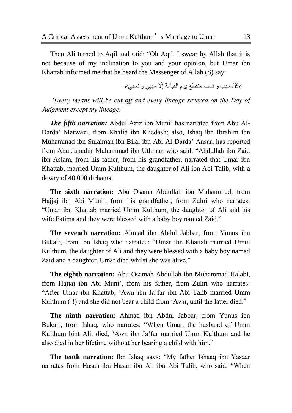Then Ali turned to Aqil and said: "Oh Aqil, I swear by Allah that it is not because of my inclination to you and your opinion, but Umar ibn Khattab informed me that he heard the Messenger of Allah (S) say:

«کُلّ سبب و نسب منقطع يو م القيامة إلّا سببي و نسبي»

*"Every means will be cut off and every lineage severed on the Day of Judgment except my lineage."*

*The fifth narration:* Abdul Aziz ibn Muni' has narrated from Abu Al-Darda' Marwazi, from Khalid ibn Khedash; also, Ishaq ibn Ibrahim ibn Muhammad ibn Sulaiman ibn Bilal ibn Abi Al-Darda' Ansari has reported from Abu Jamahir Muhammad ibn Uthman who said: "Abdullah ibn Zaid ibn Aslam, from his father, from his grandfather, narrated that Umar ibn Khattab, married Umm Kulthum, the daughter of Ali ibn Abi Talib, with a dowry of 40,000 dirhams!

**The sixth narration:** Abu Osama Abdullah ibn Muhammad, from Hajjaj ibn Abi Muni', from his grandfather, from Zuhri who narrates: ―Umar ibn Khattab married Umm Kulthum, the daughter of Ali and his wife Fatima and they were blessed with a baby boy named Zaid."

**The seventh narration:** Ahmad ibn Abdul Jabbar, from Yunus ibn Bukair, from Ibn Ishaq who narrated: "Umar ibn Khattab married Umm Kulthum, the daughter of Ali and they were blessed with a baby boy named Zaid and a daughter. Umar died whilst she was alive."

**The eighth narration:** Abu Osamah Abdullah ibn Muhammad Halabi, from Hajjaj ibn Abi Muni', from his father, from Zuhri who narrates: ―After Umar ibn Khattab, ‗Awn ibn Ja'far ibn Abi Talib married Umm Kulthum (!!) and she did not bear a child from 'Awn, until the latter died."

**The ninth narration**: Ahmad ibn Abdul Jabbar, from Yunus ibn Bukair, from Ishaq, who narrates: "When Umar, the husband of Umm Kulthum bint Ali, died, ‗Awn ibn Ja'far married Umm Kulthum and he also died in her lifetime without her bearing a child with him."

The tenth narration: Ibn Ishaq says: "My father Ishaaq ibn Yasaar narrates from Hasan ibn Hasan ibn Ali ibn Abi Talib, who said: "When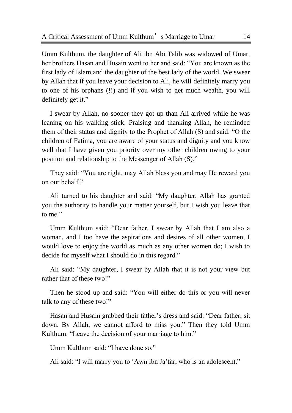Umm Kulthum, the daughter of Ali ibn Abi Talib was widowed of Umar, her brothers Hasan and Husain went to her and said: "You are known as the first lady of Islam and the daughter of the best lady of the world. We swear by Allah that if you leave your decision to Ali, he will definitely marry you to one of his orphans (!!) and if you wish to get much wealth, you will definitely get it."

I swear by Allah, no sooner they got up than Ali arrived while he was leaning on his walking stick. Praising and thanking Allah, he reminded them of their status and dignity to the Prophet of Allah (S) and said: "O the children of Fatima, you are aware of your status and dignity and you know well that I have given you priority over my other children owing to your position and relationship to the Messenger of Allah (S)."

They said: "You are right, may Allah bless you and may He reward you on our behalf."

Ali turned to his daughter and said: "My daughter, Allah has granted you the authority to handle your matter yourself, but I wish you leave that to me."

Umm Kulthum said: "Dear father, I swear by Allah that I am also a woman, and I too have the aspirations and desires of all other women, I would love to enjoy the world as much as any other women do; I wish to decide for myself what I should do in this regard."

Ali said: "My daughter, I swear by Allah that it is not your view but rather that of these two!"

Then he stood up and said: "You will either do this or you will never talk to any of these two!"

Hasan and Husain grabbed their father's dress and said: "Dear father, sit down. By Allah, we cannot afford to miss you." Then they told Umm Kulthum: "Leave the decision of your marriage to him."

Umm Kulthum said: "I have done so."

Ali said: "I will marry you to 'Awn ibn Ja'far, who is an adolescent."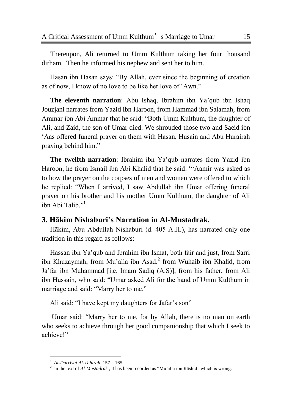Thereupon, Ali returned to Umm Kulthum taking her four thousand dirham. Then he informed his nephew and sent her to him.

Hasan ibn Hasan says: "By Allah, ever since the beginning of creation as of now, I know of no love to be like her love of 'Awn."

**The eleventh narration**: Abu Ishaq, Ibrahim ibn Ya'qub ibn Ishaq Jouzjani narrates from Yazid ibn Haroon, from Hammad ibn Salamah, from Ammar ibn Abi Ammar that he said: "Both Umm Kulthum, the daughter of Ali, and Zaid, the son of Umar died. We shrouded those two and Saeid ibn ‗Aas offered funeral prayer on them with Hasan, Husain and Abu Hurairah praying behind him."

**The twelfth narration**: Ibrahim ibn Ya'qub narrates from Yazid ibn Haroon, he from Ismail ibn Abi Khalid that he said: "Aamir was asked as to how the prayer on the corpses of men and women were offered to which he replied: "When I arrived, I saw Abdullah ibn Umar offering funeral prayer on his brother and his mother Umm Kulthum, the daughter of Ali ibn Abi Talib."<sup>1</sup>

## <span id="page-18-0"></span>**3. Hākim Nishaburi's Narration in Al-Mustadrak.**

Hākim, Abu Abdullah Nishaburi (d. 405 A.H.), has narrated only one tradition in this regard as follows:

Hassan ibn Ya'qub and Ibrahim ibn Ismat, both fair and just, from Sarri ibn Khuzaymah, from Mu'alla ibn Asad,<sup>2</sup> from Wuhaib ibn Khalid, from Ja'far ibn Muhammad [i.e. Imam Sadiq (A.S)], from his father, from Ali ibn Hussain, who said: "Umar asked Ali for the hand of Umm Kulthum in marriage and said: "Marry her to me."

Ali said: "I have kept my daughters for Jafar's son"

Umar said: "Marry her to me, for by Allah, there is no man on earth who seeks to achieve through her good companionship that which I seek to achieve!"

 $\overline{a}$ 

<sup>1</sup> *Al-Durriyat Al-Tahirah,* 157 – 165.

<sup>&</sup>lt;sup>2</sup> In the text of  $Al-Mustadrak$ , it has been recorded as "Mu'alla ibn Rāshid" which is wrong.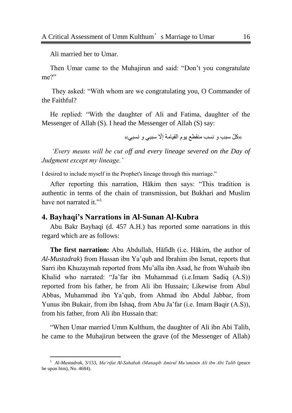Ali married her to Umar.

 $\overline{a}$ 

Then Umar came to the Muhajirun and said: "Don't you congratulate me?"

They asked: "With whom are we congratulating you, O Commander of the Faithful?

He replied: "With the daughter of Ali and Fatima, daughter of the Messenger of Allah (S). I head the Messenger of Allah (S) say:

«کُلّ سبب و نسب منقطع یو م القیامة إلّا سببی و نسبی»

*"Every means will be cut off and every lineage severed on the Day of Judgment except my lineage."*

I desired to include myself in the Prophet's lineage through this marriage."

After reporting this narration, Hakim then says: "This tradition is authentic in terms of the chain of transmission, but Bukhari and Muslim have not narrated it."<sup>1</sup>

#### <span id="page-19-0"></span>**4. Bayhaqi's Narrations in Al-Sunan Al-Kubra**

Abu Bakr Bayhaqi (d. 457 A.H.) has reported some narrations in this regard which are as follows:

**The first narration:** Abu Abdullah, Hāfidh (i.e. Hākim, the author of *Al-Mustadrak*) from Hassan ibn Ya'qub and Ibrahim ibn Ismat, reports that Sarri ibn Khuzaymah reported from Mu'alla ibn Asad, he from Wuhaib ibn Khalid who narrated: "Ja'far ibn Muhammad (i.e.Imam Sadiq (A.S)) reported from his father, he from Ali ibn Hussain; Likewise from Abul Abbas, Muhammad ibn Ya'qub, from Ahmad ibn Abdul Jabbar, from Yunus ibn Bukair, from ibn Ishaq, from Abu Ja'far (i.e. Imam Baqir (A.S)), from his father, from Ali ibn Hussain that:

"When Umar married Umm Kulthum, the daughter of Ali ibn Abi Talib, he came to the Muhajirun between the grave (of the Messenger of Allah)

<sup>1</sup> *Al-Mustadrak*, 3/153, *Ma"rifat Al-Sahabah (Manaqib Amirul Mu"uminin Ali ibn Abi Talib* (peace be upon him), No. 4684).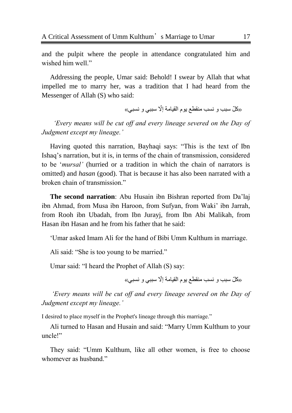and the pulpit where the people in attendance congratulated him and wished him well."

Addressing the people, Umar said: Behold! I swear by Allah that what impelled me to marry her, was a tradition that I had heard from the Messenger of Allah (S) who said:

«كُلّ سبب و ِ نسب منقطع يوم القيامة إلّا سببي و ِ نسبي»

 *"Every means will be cut off and every lineage severed on the Day of Judgment except my lineage."*

Having quoted this narration, Bayhaqi says: "This is the text of Ibn Ishaq's narration, but it is, in terms of the chain of transmission, considered to be ‗*mursal"* (hurried or a tradition in which the chain of narrators is omitted) and *hasan* (good). That is because it has also been narrated with a broken chain of transmission."

**The second narration**: Abu Husain ibn Bishran reported from Da'laj ibn Ahmad, from Musa ibn Haroon, from Sufyan, from Waki' ibn Jarrah, from Rooh ibn Ubadah, from Ibn Jurayj, from Ibn Abi Malikah, from Hasan ibn Hasan and he from his father that he said:

‗Umar asked Imam Ali for the hand of Bibi Umm Kulthum in marriage.

Ali said: "She is too young to be married."

Umar said: "I heard the Prophet of Allah (S) say:

«كُلّ سبب و ِ نسب منقطع يوم القيامة إلّا سببي و ِ نسبي»

*"Every means will be cut off and every lineage severed on the Day of Judgment except my lineage."*

I desired to place myself in the Prophet's lineage through this marriage."

Ali turned to Hasan and Husain and said: "Marry Umm Kulthum to your uncle!"

They said: "Umm Kulthum, like all other women, is free to choose whomever as husband."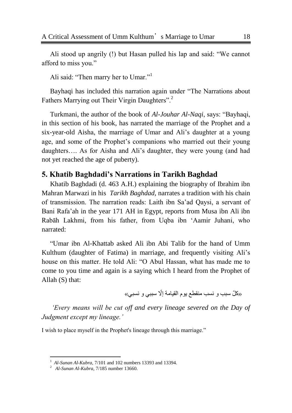Ali stood up angrily (!) but Hasan pulled his lap and said: "We cannot afford to miss you."

Ali said: "Then marry her to Umar."<sup>1</sup>

Bayhaqi has included this narration again under "The Narrations about Fathers Marrying out Their Virgin Daughters".<sup>2</sup>

Turkmani, the author of the book of *Al-Jouhar Al-Naqi*, says: "Bayhaqi, in this section of his book, has narrated the marriage of the Prophet and a six-year-old Aisha, the marriage of Umar and Ali's daughter at a young age, and some of the Prophet's companions who married out their young daughters…. As for Aisha and Ali's daughter, they were young (and had not yet reached the age of puberty).

## <span id="page-21-0"></span>**5. Khatib Baghdadi's Narrations in Tarikh Baghdad**

Khatib Baghdadi (d. 463 A.H.) explaining the biography of Ibrahim ibn Mahran Marwazi in his *Tarikh Baghdad,* narrates a tradition with his chain of transmission. The narration reads: Laith ibn Sa'ad Qaysi, a servant of Bani Rafa'ah in the year 171 AH in Egypt, reports from Musa ibn Ali ibn Rabāh Lakhmi, from his father, from Uqba ibn ‗Aamir Juhani, who narrated:

―Umar ibn Al-Khattab asked Ali ibn Abi Talib for the hand of Umm Kulthum (daughter of Fatima) in marriage, and frequently visiting Ali's house on this matter. He told Ali: "O Abul Hassan, what has made me to come to you time and again is a saying which I heard from the Prophet of Allah (S) that:

«كلّ سبب و نسب منقطع يوم القيامة إلّا سببي و نسبي»

*"Every means will be cut off and every lineage severed on the Day of Judgment except my lineage."*

I wish to place myself in the Prophet's lineage through this marriage."

 $\overline{a}$ 

<sup>1</sup> *Al-Sunan Al-Kubra*, 7/101 and 102 numbers 13393 and 13394.

<sup>2</sup> *Al-Sunan Al-Kubra*, 7/185 number 13660.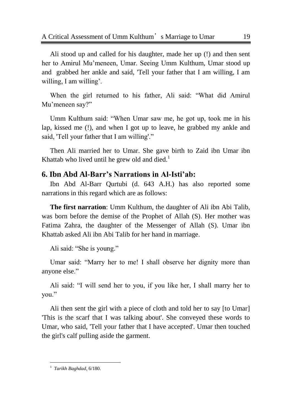Ali stood up and called for his daughter, made her up (!) and then sent her to Amirul Mu'meneen, Umar. Seeing Umm Kulthum, Umar stood up and grabbed her ankle and said, 'Tell your father that I am willing, I am willing, I am willing'.

When the girl returned to his father, Ali said: "What did Amirul Mu'meneen say?"

Umm Kulthum said: "When Umar saw me, he got up, took me in his lap, kissed me (!), and when I got up to leave, he grabbed my ankle and said, 'Tell your father that I am willing'."

Then Ali married her to Umar. She gave birth to Zaid ibn Umar ibn Khattab who lived until he grew old and died.<sup>1</sup>

#### <span id="page-22-0"></span>**6. Ibn Abd Al-Barr's Narrations in Al-Isti'ab:**

Ibn Abd Al-Barr Qurtubi (d. 643 A.H.) has also reported some narrations in this regard which are as follows:

**The first narration**: Umm Kulthum, the daughter of Ali ibn Abi Talib, was born before the demise of the Prophet of Allah (S). Her mother was Fatima Zahra, the daughter of the Messenger of Allah (S). Umar ibn Khattab asked Ali ibn Abi Talib for her hand in marriage.

Ali said: "She is young."

Umar said: "Marry her to me! I shall observe her dignity more than anyone else."

Ali said: "I will send her to you, if you like her, I shall marry her to vou."

Ali then sent the girl with a piece of cloth and told her to say [to Umar] 'This is the scarf that I was talking about'. She conveyed these words to Umar, who said, 'Tell your father that I have accepted'. Umar then touched the girl's calf pulling aside the garment.

l 1 *Tarikh Baghdad*, 6/180.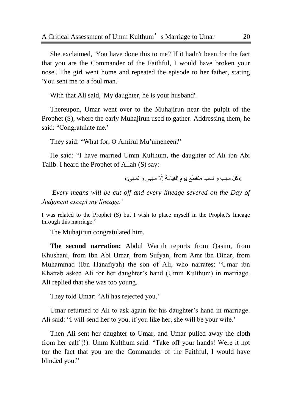She exclaimed, 'You have done this to me? If it hadn't been for the fact that you are the Commander of the Faithful, I would have broken your nose'. The girl went home and repeated the episode to her father, stating 'You sent me to a foul man.'

With that Ali said, 'My daughter, he is your husband'.

Thereupon, Umar went over to the Muhajirun near the pulpit of the Prophet (S), where the early Muhajirun used to gather. Addressing them, he said: "Congratulate me."

They said: "What for, O Amirul Mu'umeneen?"

He said: "I have married Umm Kulthum, the daughter of Ali ibn Abi Talib. I heard the Prophet of Allah (S) say:

«كلّ سبب و نسب منقطع يوم القيامة إلّا سببي و نسبي»

*"Every means will be cut off and every lineage severed on the Day of Judgment except my lineage."*

I was related to the Prophet (S) but I wish to place myself in the Prophet's lineage through this marriage."

The Muhajirun congratulated him.

**The second narration:** Abdul Warith reports from Qasim, from Khushani, from Ibn Abi Umar, from Sufyan, from Amr ibn Dinar, from Muhammad (Ibn Hanafiyah) the son of Ali, who narrates: "Umar ibn Khattab asked Ali for her daughter's hand (Umm Kulthum) in marriage. Ali replied that she was too young.

They told Umar: "Ali has rejected you."

Umar returned to Ali to ask again for his daughter's hand in marriage. Ali said: "I will send her to you, if you like her, she will be your wife.'

Then Ali sent her daughter to Umar, and Umar pulled away the cloth from her calf (!). Umm Kulthum said: "Take off your hands! Were it not for the fact that you are the Commander of the Faithful, I would have blinded you."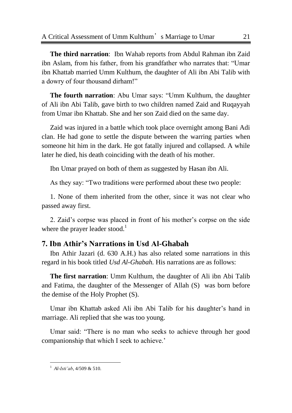**The third narration**: Ibn Wahab reports from Abdul Rahman ibn Zaid ibn Aslam, from his father, from his grandfather who narrates that: "Umar ibn Khattab married Umm Kulthum, the daughter of Ali ibn Abi Talib with a dowry of four thousand dirham!"

**The fourth narration**: Abu Umar says: "Umm Kulthum, the daughter of Ali ibn Abi Talib, gave birth to two children named Zaid and Ruqayyah from Umar ibn Khattab. She and her son Zaid died on the same day.

Zaid was injured in a battle which took place overnight among Bani Adi clan. He had gone to settle the dispute between the warring parties when someone hit him in the dark. He got fatally injured and collapsed. A while later he died, his death coinciding with the death of his mother.

Ibn Umar prayed on both of them as suggested by Hasan ibn Ali.

As they say: "Two traditions were performed about these two people:

1. None of them inherited from the other, since it was not clear who passed away first.

2. Zaid's corpse was placed in front of his mother's corpse on the side where the prayer leader stood.<sup>1</sup>

## <span id="page-24-0"></span>**7. Ibn Athir's Narrations in Usd Al-Ghabah**

Ibn Athir Jazari (d. 630 A.H.) has also related some narrations in this regard in his book titled *Usd Al-Ghabah.* His narrations are as follows:

**The first narration**: Umm Kulthum, the daughter of Ali ibn Abi Talib and Fatima, the daughter of the Messenger of Allah (S) was born before the demise of the Holy Prophet (S).

Umar ibn Khattab asked Ali ibn Abi Talib for his daughter's hand in marriage. Ali replied that she was too young.

Umar said: "There is no man who seeks to achieve through her good companionship that which I seek to achieve.'

l 1 *Al-Isti"ab*, 4/509 & 510.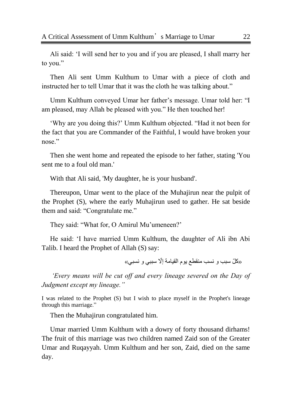Ali said: ‗I will send her to you and if you are pleased, I shall marry her to you."

Then Ali sent Umm Kulthum to Umar with a piece of cloth and instructed her to tell Umar that it was the cloth he was talking about."

Umm Kulthum conveyed Umar her father's message. Umar told her: "I am pleased, may Allah be pleased with you." He then touched her!

‗Why are you doing this?' Umm Kulthum objected. ―Had it not been for the fact that you are Commander of the Faithful, I would have broken your nose."

Then she went home and repeated the episode to her father, stating 'You sent me to a foul old man.'

With that Ali said, 'My daughter, he is your husband'.

Thereupon, Umar went to the place of the Muhajirun near the pulpit of the Prophet (S), where the early Muhajirun used to gather. He sat beside them and said: "Congratulate me."

They said: "What for, O Amirul Mu'umeneen?"

He said: 'I have married Umm Kulthum, the daughter of Ali ibn Abi Talib. I heard the Prophet of Allah (S) say:

«كلّ سبب و نسب منقطع يوم القيامة إلّا سببي و نسبي»

*"Every means will be cut off and every lineage severed on the Day of Judgment except my lineage."*

I was related to the Prophet (S) but I wish to place myself in the Prophet's lineage through this marriage."

Then the Muhajirun congratulated him.

Umar married Umm Kulthum with a dowry of forty thousand dirhams! The fruit of this marriage was two children named Zaid son of the Greater Umar and Ruqayyah. Umm Kulthum and her son, Zaid, died on the same day.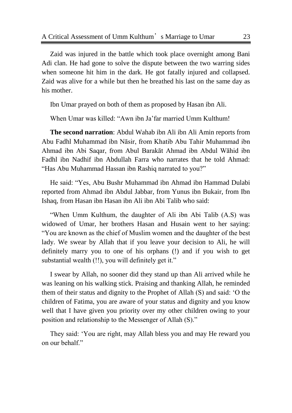Zaid was injured in the battle which took place overnight among Bani Adi clan. He had gone to solve the dispute between the two warring sides when someone hit him in the dark. He got fatally injured and collapsed. Zaid was alive for a while but then he breathed his last on the same day as his mother.

Ibn Umar prayed on both of them as proposed by Hasan ibn Ali.

When Umar was killed: "Awn ibn Ja'far married Umm Kulthum!

**The second narration**: Abdul Wahab ibn Ali ibn Ali Amin reports from Abu Fadhl Muhammad ibn Nāsir, from Khatib Abu Tahir Muhammad ibn Ahmad ibn Abi Saqar, from Abul Barakāt Ahmad ibn Abdul Wāhid ibn Fadhl ibn Nadhif ibn Abdullah Farra who narrates that he told Ahmad: "Has Abu Muhammad Hassan ibn Rashiq narrated to you?"

He said: ―Yes, Abu Bushr Muhammad ibn Ahmad ibn Hammad Dulabi reported from Ahmad ibn Abdul Jabbar, from Yunus ibn Bukair, from Ibn Ishaq, from Hasan ibn Hasan ibn Ali ibn Abi Talib who said:

"When Umm Kulthum, the daughter of Ali ibn Abi Talib (A.S) was widowed of Umar, her brothers Hasan and Husain went to her saying: ―You are known as the chief of Muslim women and the daughter of the best lady. We swear by Allah that if you leave your decision to Ali, he will definitely marry you to one of his orphans (!) and if you wish to get substantial wealth (!!), you will definitely get it."

I swear by Allah, no sooner did they stand up than Ali arrived while he was leaning on his walking stick. Praising and thanking Allah, he reminded them of their status and dignity to the Prophet of Allah (S) and said: ‗O the children of Fatima, you are aware of your status and dignity and you know well that I have given you priority over my other children owing to your position and relationship to the Messenger of Allah (S)."

They said: ‗You are right, may Allah bless you and may He reward you on our behalf."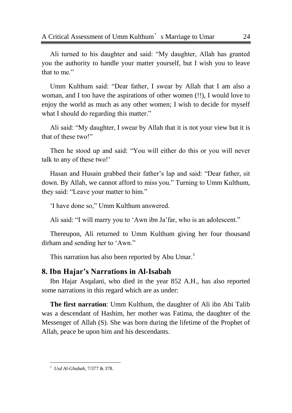Ali turned to his daughter and said: "My daughter, Allah has granted you the authority to handle your matter yourself, but I wish you to leave that to me."

Umm Kulthum said: "Dear father, I swear by Allah that I am also a woman, and I too have the aspirations of other women (!!), I would love to enjoy the world as much as any other women; I wish to decide for myself what I should do regarding this matter."

Ali said: "My daughter, I swear by Allah that it is not your view but it is that of these two!"

Then he stood up and said: "You will either do this or you will never talk to any of these two!'

Hasan and Husain grabbed their father's lap and said: "Dear father, sit down. By Allah, we cannot afford to miss you." Turning to Umm Kulthum, they said: "Leave your matter to him."

'I have done so," Umm Kulthum answered.

Ali said: "I will marry you to 'Awn ibn Ja'far, who is an adolescent."

Thereupon, Ali returned to Umm Kulthum giving her four thousand dirham and sending her to 'Awn."

This narration has also been reported by Abu Umar.<sup>1</sup>

## <span id="page-27-0"></span>**8. Ibn Hajar's Narrations in Al-Isabah**

Ibn Hajar Asqalani, who died in the year 852 A.H., has also reported some narrations in this regard which are as under:

**The first narration**: Umm Kulthum, the daughter of Ali ibn Abi Talib was a descendant of Hashim, her mother was Fatima, the daughter of the Messenger of Allah (S). She was born during the lifetime of the Prophet of Allah, peace be upon him and his descendants.

l 1 *Usd Al-Ghabah,* 7/377 & 378.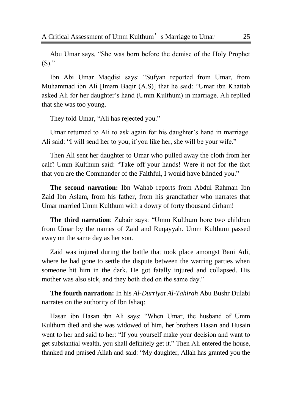Abu Umar says, "She was born before the demise of the Holy Prophet  $(S)$ ."

Ibn Abi Umar Maqdisi says: "Sufyan reported from Umar, from Muhammad ibn Ali [Imam Baqir  $(A.S)$ ] that he said: "Umar ibn Khattab asked Ali for her daughter's hand (Umm Kulthum) in marriage. Ali replied that she was too young.

They told Umar, "Ali has rejected you."

Umar returned to Ali to ask again for his daughter's hand in marriage. Ali said: "I will send her to you, if you like her, she will be your wife."

Then Ali sent her daughter to Umar who pulled away the cloth from her calf! Umm Kulthum said: "Take off your hands! Were it not for the fact that you are the Commander of the Faithful, I would have blinded you."

**The second narration:** Ibn Wahab reports from Abdul Rahman Ibn Zaid Ibn Aslam, from his father, from his grandfather who narrates that Umar married Umm Kulthum with a dowry of forty thousand dirham!

**The third narration**: Zubair says: "Umm Kulthum bore two children from Umar by the names of Zaid and Ruqayyah. Umm Kulthum passed away on the same day as her son.

Zaid was injured during the battle that took place amongst Bani Adi, where he had gone to settle the dispute between the warring parties when someone hit him in the dark. He got fatally injured and collapsed. His mother was also sick, and they both died on the same day."

**The fourth narration:** In his *Al-Durriyat Al-Tahirah* Abu Bushr Dulabi narrates on the authority of Ibn Ishaq:

Hasan ibn Hasan ibn Ali says: "When Umar, the husband of Umm Kulthum died and she was widowed of him, her brothers Hasan and Husain went to her and said to her: "If you yourself make your decision and want to get substantial wealth, you shall definitely get it." Then Ali entered the house, thanked and praised Allah and said: "My daughter, Allah has granted you the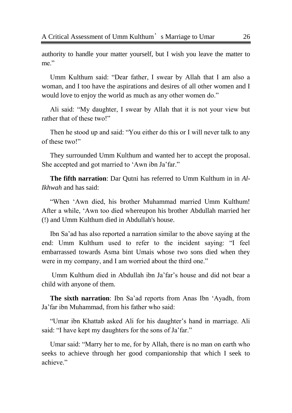authority to handle your matter yourself, but I wish you leave the matter to me."

Umm Kulthum said: "Dear father, I swear by Allah that I am also a woman, and I too have the aspirations and desires of all other women and I would love to enjoy the world as much as any other women do."

Ali said: "My daughter, I swear by Allah that it is not your view but rather that of these two!"

Then he stood up and said: "You either do this or I will never talk to any of these two!"

They surrounded Umm Kulthum and wanted her to accept the proposal. She accepted and got married to 'Awn ibn Ja'far."

**The fifth narration**: Dar Qutni has referred to Umm Kulthum in in *Al-Ikhwah* and has said:

―When ‗Awn died, his brother Muhammad married Umm Kulthum! After a while, ‗Awn too died whereupon his brother Abdullah married her (!) and Umm Kulthum died in Abdullah's house.

Ibn Sa'ad has also reported a narration similar to the above saying at the end: Umm Kulthum used to refer to the incident saying: "I feel embarrassed towards Asma bint Umais whose two sons died when they were in my company, and I am worried about the third one."

Umm Kulthum died in Abdullah ibn Ja'far's house and did not bear a child with anyone of them.

**The sixth narration**: Ibn Sa'ad reports from Anas Ibn 'Ayadh, from Ja'far ibn Muhammad, from his father who said:

―Umar ibn Khattab asked Ali for his daughter's hand in marriage. Ali said: "I have kept my daughters for the sons of Ja'far."

Umar said: "Marry her to me, for by Allah, there is no man on earth who seeks to achieve through her good companionship that which I seek to achieve."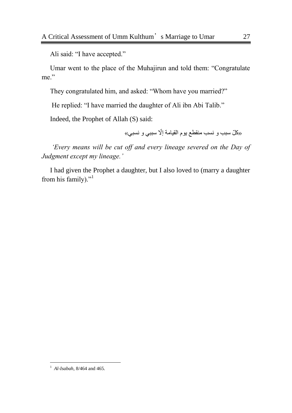Ali said: "I have accepted."

Umar went to the place of the Muhajirun and told them: "Congratulate" me."

They congratulated him, and asked: "Whom have you married?"

He replied: "I have married the daughter of Ali ibn Abi Talib."

Indeed, the Prophet of Allah (S) said:

«وكلّ سبب و ِ نسب منقطع يوم القيامة إلّا سببي و نسبي»

*"Every means will be cut off and every lineage severed on the Day of Judgment except my lineage."*

I had given the Prophet a daughter, but I also loved to (marry a daughter from his family)."

l

<sup>1</sup> *Al-Isabah*, 8/464 and 465.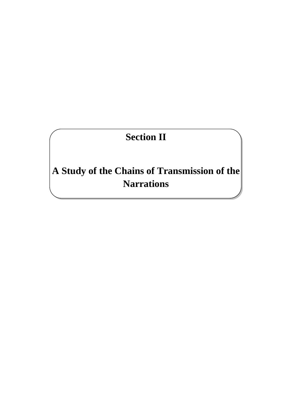# **Section II**

<span id="page-31-1"></span><span id="page-31-0"></span>**A Study of the Chains of Transmission of the Narrations**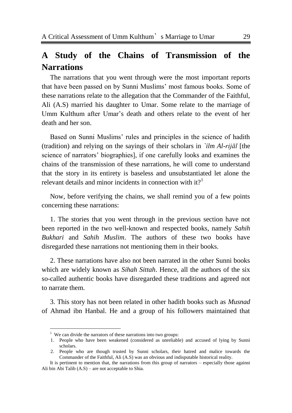## <span id="page-32-0"></span>**A Study of the Chains of Transmission of the Narrations**

The narrations that you went through were the most important reports that have been passed on by Sunni Muslims' most famous books. Some of these narrations relate to the allegation that the Commander of the Faithful, Ali (A.S) married his daughter to Umar. Some relate to the marriage of Umm Kulthum after Umar's death and others relate to the event of her death and her son.

Based on Sunni Muslims' rules and principles in the science of hadith (tradition) and relying on the sayings of their scholars in *`ilm Al-rijāl* [the science of narrators' biographies], if one carefully looks and examines the chains of the transmission of these narrations, he will come to understand that the story in its entirety is baseless and unsubstantiated let alone the relevant details and minor incidents in connection with  $it$ <sup>1</sup>

Now, before verifying the chains, we shall remind you of a few points concerning these narrations:

1. The stories that you went through in the previous section have not been reported in the two well-known and respected books, namely *Sahih Bukhari* and *Sahih Muslim*. The authors of these two books have disregarded these narrations not mentioning them in their books.

2. These narrations have also not been narrated in the other Sunni books which are widely known as *Sihah Sittah*. Hence, all the authors of the six so-called authentic books have disregarded these traditions and agreed not to narrate them.

3. This story has not been related in other hadith books such as *Musnad* of Ahmad ibn Hanbal. He and a group of his followers maintained that

l

 $1$  We can divide the narrators of these narrations into two groups:

<sup>1.</sup> People who have been weakened (considered as unreliable) and accused of lying by Sunni scholars.

<sup>2.</sup> People who are though trusted by Sunni scholars, their hatred and malice towards the Commander of the Faithful, Ali (A.S) was an obvious and indisputable historical reality.

It is pertinent to mention that, the narrations from this group of narrators – especially those against Ali bin Abi Talib (A.S) – are not acceptable to Shia.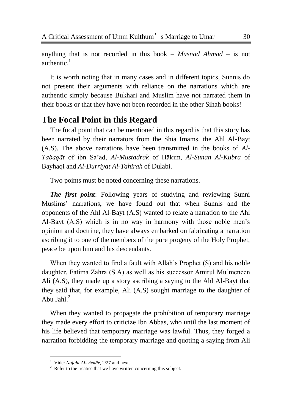anything that is not recorded in this book – *Musnad Ahmad* – is not authentic. $1$ 

It is worth noting that in many cases and in different topics, Sunnis do not present their arguments with reliance on the narrations which are authentic simply because Bukhari and Muslim have not narrated them in their books or that they have not been recorded in the other Sihah books!

## <span id="page-33-0"></span>**The Focal Point in this Regard**

The focal point that can be mentioned in this regard is that this story has been narrated by their narrators from the Shia Imams, the Ahl Al-Bayt (A.S). The above narrations have been transmitted in the books of *Al-Tabaqāt* of ibn Sa'ad, *Al-Mustadrak* of Hākim, *Al-Sunan Al-Kubra* of Bayhaqi and *Al-Durriyat Al-Tahirah* of Dulabi.

Two points must be noted concerning these narrations.

*The first point*: Following years of studying and reviewing Sunni Muslims' narrations, we have found out that when Sunnis and the opponents of the Ahl Al-Bayt (A.S) wanted to relate a narration to the Ahl Al-Bayt (A.S) which is in no way in harmony with those noble men's opinion and doctrine, they have always embarked on fabricating a narration ascribing it to one of the members of the pure progeny of the Holy Prophet, peace be upon him and his descendants.

When they wanted to find a fault with Allah's Prophet (S) and his noble daughter, Fatima Zahra (S.A) as well as his successor Amirul Mu'meneen Ali (A.S), they made up a story ascribing a saying to the Ahl Al-Bayt that they said that, for example, Ali (A.S) sought marriage to the daughter of Abu Jahl $^2$ 

When they wanted to propagate the prohibition of temporary marriage they made every effort to criticize Ibn Abbas, who until the last moment of his life believed that temporary marriage was lawful. Thus, they forged a narration forbidding the temporary marriage and quoting a saying from Ali

 $\overline{a}$ 

<sup>1</sup> Vide: *Nafaht Al- Azhār*, 2/27 and next.

 $2^2$  Refer to the treatise that we have written concerning this subject.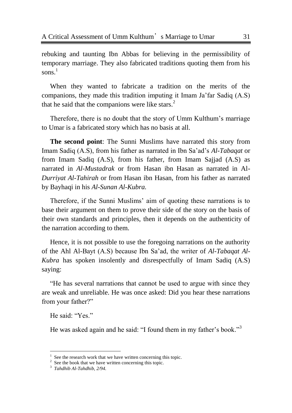rebuking and taunting Ibn Abbas for believing in the permissibility of temporary marriage. They also fabricated traditions quoting them from his sons. 1

When they wanted to fabricate a tradition on the merits of the companions, they made this tradition imputing it Imam Ja'far Sadiq (A.S) that he said that the companions were like stars. $2^2$ 

Therefore, there is no doubt that the story of Umm Kulthum's marriage to Umar is a fabricated story which has no basis at all.

**The second point**: The Sunni Muslims have narrated this story from Imam Sadiq (A.S), from his father as narrated in Ibn Sa'ad's *Al-Tabaqat* or from Imam Sadiq (A.S), from his father, from Imam Sajjad (A.S) as narrated in *Al-Mustadrak* or from Hasan ibn Hasan as narrated in Al-*Durriyat Al-Tahirah* or from Hasan ibn Hasan, from his father as narrated by Bayhaqi in his *Al-Sunan Al-Kubra.*

Therefore, if the Sunni Muslims' aim of quoting these narrations is to base their argument on them to prove their side of the story on the basis of their own standards and principles, then it depends on the authenticity of the narration according to them.

Hence, it is not possible to use the foregoing narrations on the authority of the Ahl Al-Bayt (A.S) because Ibn Sa'ad, the writer of *Al-Tabaqat Al-Kubra* has spoken insolently and disrespectfully of Imam Sadiq (A.S) saying:

―He has several narrations that cannot be used to argue with since they are weak and unreliable. He was once asked: Did you hear these narrations from your father?"

He said: "Yes."

 $\overline{a}$ 

He was asked again and he said: "I found them in my father's book."<sup>3</sup>

<sup>1</sup> See the research work that we have written concerning this topic.

 $2^2$  See the book that we have written concerning this topic.

<sup>3</sup> *Tahdhib Al-Tahdhib, 2/94.*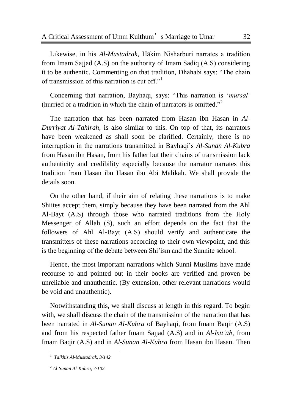Likewise, in his *Al-Mustadrak,* Hākim Nisharburi narrates a tradition from Imam Sajjad (A.S) on the authority of Imam Sadiq (A.S) considering it to be authentic. Commenting on that tradition, Dhahabi says: "The chain of transmission of this narration is cut off. $11$ 

Concerning that narration, Bayhaqi, says: "This narration is '*mursal'* (hurried or a tradition in which the chain of narrators is omitted."<sup>2</sup>

The narration that has been narrated from Hasan ibn Hasan in *Al-Durriyat Al-Tahirah*, is also similar to this. On top of that, its narrators have been weakened as shall soon be clarified. Certainly, there is no interruption in the narrations transmitted in Bayhaqi's *Al-Sunan Al-Kubra* from Hasan ibn Hasan, from his father but their chains of transmission lack authenticity and credibility especially because the narrator narrates this tradition from Hasan ibn Hasan ibn Abi Malikah. We shall provide the details soon.

On the other hand, if their aim of relating these narrations is to make Shiites accept them, simply because they have been narrated from the Ahl Al-Bayt (A.S) through those who narrated traditions from the Holy Messenger of Allah (S), such an effort depends on the fact that the followers of Ahl Al-Bayt (A.S) should verify and authenticate the transmitters of these narrations according to their own viewpoint, and this is the beginning of the debate between Shi'ism and the Sunnite school.

Hence, the most important narrations which Sunni Muslims have made recourse to and pointed out in their books are verified and proven be unreliable and unauthentic. (By extension, other relevant narrations would be void and unauthentic).

Notwithstanding this, we shall discuss at length in this regard. To begin with, we shall discuss the chain of the transmission of the narration that has been narrated in *Al-Sunan Al-Kubra* of Bayhaqi, from Imam Baqir (A.S) and from his respected father Imam Sajjad (A.S) and in *Al-Isti"āb*, from Imam Baqir (A.S) and in *Al-Sunan Al-Kubra* from Hasan ibn Hasan. Then

 $\overline{a}$ 

<sup>1</sup> *Talkhis Al-Mustadrak, 3/142.*

<sup>2</sup> *Al-Sunan Al-Kubra, 7/102.*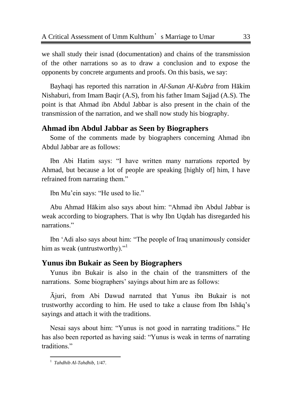we shall study their isnad (documentation) and chains of the transmission of the other narrations so as to draw a conclusion and to expose the opponents by concrete arguments and proofs. On this basis, we say:

Bayhaqi has reported this narration in *Al-Sunan Al-Kubra* from Hākim Nishaburi, from Imam Baqir (A.S), from his father Imam Sajjad (A.S). The point is that Ahmad ibn Abdul Jabbar is also present in the chain of the transmission of the narration, and we shall now study his biography.

#### **Ahmad ibn Abdul Jabbar as Seen by Biographers**

Some of the comments made by biographers concerning Ahmad ibn Abdul Jabbar are as follows:

Ibn Abi Hatim says: "I have written many narrations reported by Ahmad, but because a lot of people are speaking [highly of] him, I have refrained from narrating them."

Ibn Mu'ein says: "He used to lie."

Abu Ahmad Hākim also says about him: "Ahmad ibn Abdul Jabbar is weak according to biographers. That is why Ibn Uqdah has disregarded his narrations."

Ibn 'Adi also says about him: "The people of Iraq unanimously consider him as weak (untrustworthy). $1$ <sup>1</sup>

#### **Yunus ibn Bukair as Seen by Biographers**

Yunus ibn Bukair is also in the chain of the transmitters of the narrations. Some biographers' sayings about him are as follows:

Ājuri, from Abi Dawud narrated that Yunus ibn Bukair is not trustworthy according to him. He used to take a clause from Ibn Ishāq's sayings and attach it with the traditions.

Nesai says about him: "Yunus is not good in narrating traditions." He has also been reported as having said: "Yunus is weak in terms of narrating traditions."

 1 *Tahdhib Al-Tahdhib*, 1/47.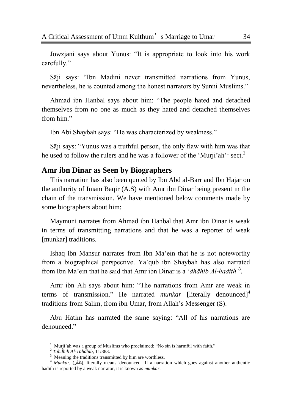Jowzjani says about Yunus: "It is appropriate to look into his work carefully."

Sāji says: "Ibn Madini never transmitted narrations from Yunus, nevertheless, he is counted among the honest narrators by Sunni Muslims."

Ahmad ibn Hanbal says about him: "The people hated and detached themselves from no one as much as they hated and detached themselves from him"

Ibn Abi Shaybah says: "He was characterized by weakness."

Sāji says: "Yunus was a truthful person, the only flaw with him was that he used to follow the rulers and he was a follower of the 'Murji'ah'<sup>1</sup> sect.<sup>2</sup>

# **Amr ibn Dinar as Seen by Biographers**

This narration has also been quoted by Ibn Abd al-Barr and Ibn Hajar on the authority of Imam Baqir (A.S) with Amr ibn Dinar being present in the chain of the transmission. We have mentioned below comments made by some biographers about him:

Maymuni narrates from Ahmad ibn Hanbal that Amr ibn Dinar is weak in terms of transmitting narrations and that he was a reporter of weak [munkar] traditions.

Ishaq ibn Mansur narrates from Ibn Ma'ein that he is not noteworthy from a biographical perspective. Ya'qub ibn Shaybah has also narrated from Ibn Ma'ein that he said that Amr ibn Dinar is a ‗*dhāhib Al-hadith"*<sup>3</sup> .

Amr ibn Ali says about him: "The narrations from Amr are weak in terms of transmission." He narrated *munkar* [literally denounced]<sup>4</sup> traditions from Salim, from ibn Umar, from Allah's Messenger (S).

Abu Hatim has narrated the same saying: "All of his narrations are denounced<sup>"</sup>

<sup>1</sup> Murji'ah was a group of Muslims who proclaimed: "No sin is harmful with faith."

<sup>2</sup> *Tahdhib Al-Tahdhib*, 11/383.

 $3$  Meaning the traditions transmitted by him are worthless.

<sup>&</sup>lt;sup>4</sup> *Munkar*, (مُنْكَر), literally means 'denounced'. If a narration which goes against another authentic hadith is reported by a weak narrator, it is known as *munkar*.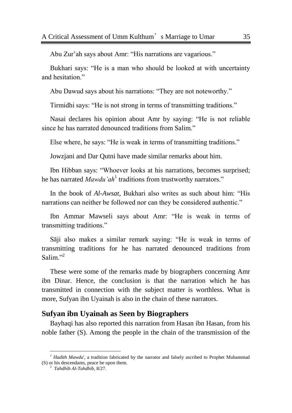Abu Zur'ah says about Amr: "His narrations are vagarious."

Bukhari says: "He is a man who should be looked at with uncertainty and hesitation."

Abu Dawud says about his narrations: "They are not noteworthy."

Tirmidhi says: "He is not strong in terms of transmitting traditions."

Nasai declares his opinion about Amr by saying: "He is not reliable since he has narrated denounced traditions from Salim."

Else where, he says: "He is weak in terms of transmitting traditions."

Jowzjani and Dar Qutni have made similar remarks about him.

Ibn Hibban says: "Whoever looks at his narrations, becomes surprised; he has narrated *Mawdu'ah*<sup>1</sup> traditions from trustworthy narrators."

In the book of *Al-Awsat*, Bukhari also writes as such about him: "His narrations can neither be followed nor can they be considered authentic."

Ibn Ammar Mawseli says about Amr: "He is weak in terms of transmitting traditions."

Sāji also makes a similar remark saying: "He is weak in terms of transmitting traditions for he has narrated denounced traditions from Salim $^{32}$ 

These were some of the remarks made by biographers concerning Amr ibn Dinar. Hence, the conclusion is that the narration which he has transmitted in connection with the subject matter is worthless. What is more, Sufyan ibn Uyainah is also in the chain of these narrators.

#### **Sufyan ibn Uyainah as Seen by Biographers**

Bayhaqi has also reported this narration from Hasan ibn Hasan, from his noble father (S). Among the people in the chain of the transmission of the

<sup>&</sup>lt;sup>1</sup> *Hadith Mawdu*', a tradition fabricated by the narrator and falsely ascribed to Prophet Muhammad (S) or his descendants, peace be upon them.

<sup>2</sup> *Tahdhib Al-Tahdhib,* 8/27.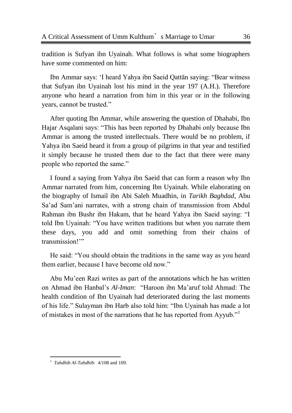tradition is Sufyan ibn Uyainah. What follows is what some biographers have some commented on him:

Ibn Ammar says: 'I heard Yahya ibn Saeid Qattān saying: "Bear witness" that Sufyan ibn Uyainah lost his mind in the year 197 (A.H.). Therefore anyone who heard a narration from him in this year or in the following years, cannot be trusted."

After quoting Ibn Ammar, while answering the question of Dhahabi, Ibn Hajar Asqalani says: "This has been reported by Dhahabi only because Ibn Ammar is among the trusted intellectuals. There would be no problem, if Yahya ibn Saeid heard it from a group of pilgrims in that year and testified it simply because he trusted them due to the fact that there were many people who reported the same."

I found a saying from Yahya ibn Saeid that can form a reason why Ibn Ammar narrated from him, concerning Ibn Uyainah. While elaborating on the biography of Ismail ibn Abi Saleh Muadhin, in *Tarikh Baghdad*, Abu Sa'ad Sam'ani narrates, with a strong chain of transmission from Abdul Rahman ibn Bushr ibn Hakam, that he heard Yahya ibn Saeid saying: "I told Ibn Uyainah: "You have written traditions but when you narrate them these days, you add and omit something from their chains of transmission!"

He said: "You should obtain the traditions in the same way as you heard them earlier, because I have become old now."

Abu Mu'een Razi writes as part of the annotations which he has written on Ahmad ibn Hanbal's *Al-Iman*: "Haroon ibn Ma'aruf told Ahmad: The health condition of Ibn Uyainah had deteriorated during the last moments of his life." Sulayman ibn Harb also told him: "Ibn Uyainah has made a lot of mistakes in most of the narrations that he has reported from Ayyub."<sup>1</sup>

 $\overline{a}$ <sup>1</sup> Tahdhib Al-Tahdhib: 4/108 and 109.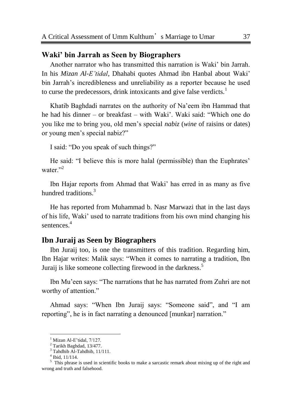# **Waki' bin Jarrah as Seen by Biographers**

Another narrator who has transmitted this narration is Waki' bin Jarrah. In his *Mizan Al-E"tidal*, Dhahabi quotes Ahmad ibn Hanbal about Waki' bin Jarrah's incredibleness and unreliability as a reporter because he used to curse the predecessors, drink intoxicants and give false verdicts.<sup>1</sup>

Khatib Baghdadi narrates on the authority of Na'eem ibn Hammad that he had his dinner – or breakfast – with Waki'. Waki said: "Which one do you like me to bring you, old men's special *nabiz* (*wine* of raisins or dates) or young men's special nabiz?"

I said: "Do you speak of such things?"

He said: "I believe this is more halal (permissible) than the Euphrates' water."<sup>2</sup>

Ibn Hajar reports from Ahmad that Waki' has erred in as many as five hundred traditions.<sup>3</sup>

He has reported from Muhammad b. Nasr Marwazi that in the last days of his life, Waki' used to narrate traditions from his own mind changing his sentences.<sup>4</sup>

# **Ibn Juraij as Seen by Biographers**

Ibn Juraij too, is one the transmitters of this tradition. Regarding him, Ibn Hajar writes: Malik says: "When it comes to narrating a tradition, Ibn Juraij is like someone collecting firewood in the darkness.<sup>5</sup>

Ibn Mu'een says: "The narrations that he has narrated from Zuhri are not worthy of attention."

Ahmad says: "When Ibn Juraij says: "Someone said", and "I am reporting", he is in fact narrating a denounced [munkar] narration."

Mizan Al-E'tidal, 7/127.

 $2$  Tarikh Baghdad, 13/477.

 $3$  Tahdhib Al-Tahdhib,  $11/111$ .

<sup>4</sup> Ibid, 11/114.

<sup>&</sup>lt;sup>5</sup> This phrase is used in scientific books to make a sarcastic remark about mixing up of the right and wrong and truth and falsehood.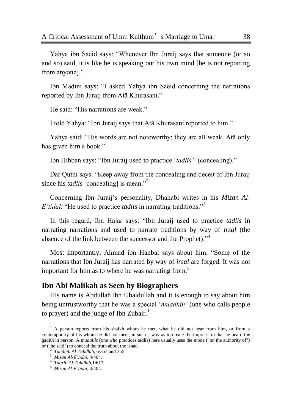Yahya ibn Saeid says: "Whenever Ibn Juraij says that someone (or so and so) said, it is like he is speaking out his own mind [he is not reporting from anyone]."

Ibn Madini says: "I asked Yahya ibn Saeid concerning the narrations reported by Ibn Juraij from Atā Khurasani."

He said: "His narrations are weak."

I told Yahya: "Ibn Juraij says that Atā Khurasani reported to him."

Yahya said: "His words are not noteworthy; they are all weak. Ata only has given him a book."

Ibn Hibban says: "Ibn Juraij used to practice 'tadlis<sup>'1</sup> (concealing)."

Dar Qutni says: "Keep away from the concealing and deceit of Ibn Juraij since his *tadlis* [concealing] is mean.<sup>22</sup>

Concerning Ibn Juraij's personality, Dhahabi writes in his *Mizan Al-E'tidal*: "He used to practice *tadlis* in narrating traditions."<sup>3</sup>

In this regard, Ibn Hajar says: "Ibn Juraij used to practice *tadlis* in narrating narrations and used to narrate traditions by way of *irsal* (the absence of the link between the successor and the Prophet).<sup>34</sup>

Most importantly, Ahmad ibn Hanbal says about him: "Some of the narrations that Ibn Juraij has narrated by way of *irsal* are forged. It was not important for him as to where he was narrating from.<sup>5</sup>

# **Ibn Abi Malikah as Seen by Biographers**

His name is Abdullah ibn Ubaidullah and it is enough to say about him being untrustworthy that he was a special *'muadhin'* (one who calls people to prayer) and the judge of Ibn Zubair.<sup>1</sup>

 $<sup>1</sup>$  A person reports from his shaikh whom he met, what he did not hear from him, or from a</sup> contemporary of his whom he did not meet, in such a way as to create the impression that he heard the hadith in person. A *mudallis* (one who practices tadlis) here usually uses the mode ("on the authority of") or ("he said") to conceal the truth about the isnad.

<sup>2</sup> *Tahdhib Al-Tahdhib*, 6/354 and 355.

<sup>3</sup> *Mizan Al-E"tidal,* 4/404.

<sup>4</sup> *Taqrib Al-Tahdhib*,1/617.

<sup>5</sup> *Mizan Al-E"tidal,* 4/404.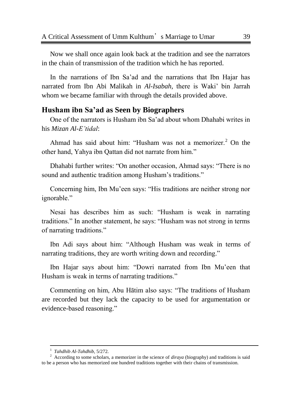Now we shall once again look back at the tradition and see the narrators in the chain of transmission of the tradition which he has reported.

In the narrations of Ibn Sa'ad and the narrations that Ibn Hajar has narrated from Ibn Abi Malikah in *Al-Isabah,* there is Waki' bin Jarrah whom we became familiar with through the details provided above.

# **Husham ibn Sa'ad as Seen by Biographers**

One of the narrators is Husham ibn Sa'ad about whom Dhahabi writes in his *Mizan Al-E"tidal*:

Ahmad has said about him: "Husham was not a memorizer.<sup>2</sup> On the other hand, Yahya ibn Qattan did not narrate from him."

Dhahabi further writes: "On another occasion, Ahmad says: "There is no sound and authentic tradition among Husham's traditions."

Concerning him, Ibn Mu'een says: "His traditions are neither strong nor ignorable."

Nesai has describes him as such: "Husham is weak in narrating traditions." In another statement, he says: "Husham was not strong in terms of narrating traditions."

Ibn Adi says about him: "Although Husham was weak in terms of narrating traditions, they are worth writing down and recording."

Ibn Hajar says about him: "Dowri narrated from Ibn Mu'een that Husham is weak in terms of narrating traditions."

Commenting on him, Abu Hātim also says: "The traditions of Husham are recorded but they lack the capacity to be used for argumentation or evidence-based reasoning."

l

<sup>1</sup> *Tahdhib Al-Tahdhib,* 5/272.

<sup>2</sup> According to some scholars, a memorizer in the science of *diraya* (biography) and traditions is said to be a person who has memorized one hundred traditions together with their chains of transmission.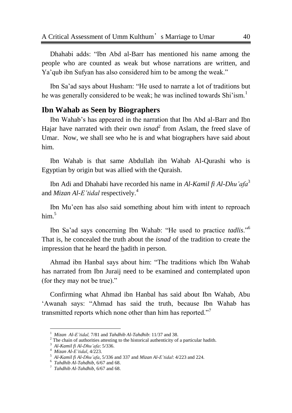Dhahabi adds: "Ibn Abd al-Barr has mentioned his name among the people who are counted as weak but whose narrations are written, and Ya'qub ibn Sufyan has also considered him to be among the weak."

Ibn Sa'ad says about Husham: "He used to narrate a lot of traditions but he was generally considered to be weak; he was inclined towards Shi'ism.<sup>1</sup>

# **Ibn Wahab as Seen by Biographers**

Ibn Wahab's has appeared in the narration that Ibn Abd al-Barr and Ibn Hajar have narrated with their own *isnad*<sup>2</sup> from Aslam, the freed slave of Umar. Now, we shall see who he is and what biographers have said about him.

Ibn Wahab is that same Abdullah ibn Wahab Al-Qurashi who is Egyptian by origin but was allied with the Quraish.

Ibn Adi and Dhahabi have recorded his name in *Al-Kamil fi Al-Dhu"afa*<sup>3</sup> and *Mizan Al-E"tidal* respectively.<sup>4</sup>

Ibn Mu'een has also said something about him with intent to reproach him.<sup>5</sup>

Ibn Sa'ad says concerning Ibn Wahab: "He used to practice *tadlis*."<sup>6</sup> That is, he concealed the truth about the *isnad* of the tradition to create the impression that he heard the hadith in person.

Ahmad ibn Hanbal says about him: "The traditions which Ibn Wahab has narrated from Ibn Juraij need to be examined and contemplated upon (for they may not be true)."

Confirming what Ahmad ibn Hanbal has said about Ibn Wahab, Abu 'Awanah says: "Ahmad has said the truth, because Ibn Wahab has transmitted reports which none other than him has reported."<sup>7</sup>

l

<sup>1</sup> *Mizan Al-E"tidal,* 7/81 and *Tahdhib Al-Tahdhib*: 11/37 and 38.

<sup>&</sup>lt;sup>2</sup> The chain of authorities attesting to the historical authenticity of a particular hadith.

<sup>3</sup> *Al-Kamil fi Al-Dhu"afa*: 5/336.

<sup>4</sup> *Mizan Al-E"tidal*, 4/223.

<sup>5</sup> *Al-Kamil fi Al-Dhu"afa*, 5/336 and 337 and *Mizan Al-E"tidal*: 4/223 and 224.

<sup>6</sup> *Tahdhib Al-Tahdhib,* 6/67 and 68.

<sup>7</sup> *Tahdhib Al-Tahdhib,* 6/67 and 68.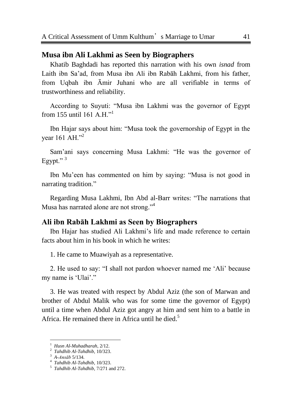# **Musa ibn Ali Lakhmi as Seen by Biographers**

Khatib Baghdadi has reported this narration with his own *isnad* from Laith ibn Sa'ad, from Musa ibn Ali ibn Rabāh Lakhmi, from his father, from Uqbah ibn Āmir Juhani who are all verifiable in terms of trustworthiness and reliability.

According to Suyuti: "Musa ibn Lakhmi was the governor of Egypt from 155 until 161 A H $^{11}$ 

Ibn Hajar says about him: "Musa took the governorship of Egypt in the vear 161 AH."<sup>2</sup>

Sam'ani says concerning Musa Lakhmi: "He was the governor of Egypt."<sup>3</sup>

Ibn Mu'een has commented on him by saying: "Musa is not good in narrating tradition."

Regarding Musa Lakhmi, Ibn Abd al-Barr writes: "The narrations that Musa has narrated alone are not strong."<sup>4</sup>

#### **Ali ibn Rabāh Lakhmi as Seen by Biographers**

Ibn Hajar has studied Ali Lakhmi's life and made reference to certain facts about him in his book in which he writes:

1. He came to Muawiyah as a representative.

2. He used to say: "I shall not pardon whoever named me 'Ali' because my name is 'Ulai'."

3. He was treated with respect by Abdul Aziz (the son of Marwan and brother of Abdul Malik who was for some time the governor of Egypt) until a time when Abdul Aziz got angry at him and sent him to a battle in Africa. He remained there in Africa until he died.<sup>5</sup>

<sup>1</sup> *Husn Al-Muhadharah*, 2/12.

<sup>2</sup> *Tahdhib Al-Tahdhib,* 10/323.

<sup>3</sup> *A-Ansāb* 5/134.

<sup>4</sup> *Tahdhib Al-Tahdhib,* 10/323.

<sup>5</sup> *Tahdhib Al-Tahdhib,* 7/271 and 272.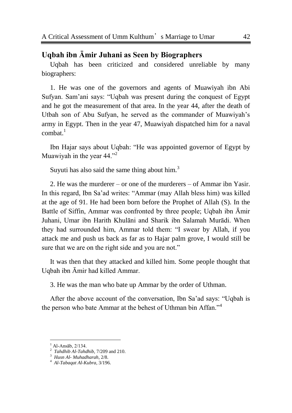# **Uqbah ibn Āmir Juhani as Seen by Biographers**

Uqbah has been criticized and considered unreliable by many biographers:

1. He was one of the governors and agents of Muawiyah ibn Abi Sufyan. Sam'ani says: "Uqbah was present during the conquest of Egypt and he got the measurement of that area. In the year 44, after the death of Utbah son of Abu Sufyan, he served as the commander of Muawiyah's army in Egypt. Then in the year 47, Muawiyah dispatched him for a naval combat. $1$ 

Ibn Hajar says about Uqbah: "He was appointed governor of Egypt by Muawiyah in the year  $44.^{1,2}$ 

Suyuti has also said the same thing about him.<sup>3</sup>

2. He was the murderer – or one of the murderers – of Ammar ibn Yasir. In this regard, Ibn Sa'ad writes: "Ammar (may Allah bless him) was killed at the age of 91. He had been born before the Prophet of Allah (S). In the Battle of Siffin, Ammar was confronted by three people; Uqbah ibn Āmir Juhani, Umar ibn Harith Khulāni and Sharik ibn Salamah Murādi. When they had surrounded him, Ammar told them: "I swear by Allah, if you attack me and push us back as far as to Hajar palm grove, I would still be sure that we are on the right side and you are not."

It was then that they attacked and killed him. Some people thought that Uqbah ibn Āmir had killed Ammar.

3. He was the man who bate up Ammar by the order of Uthman.

After the above account of the conversation, Ibn Sa'ad says: "Uqbah is the person who bate Ammar at the behest of Uthman bin Affan."<sup>4</sup>

Al-Ansāb, 2/134.

<sup>2</sup> *Tahdhib Al-Tahdhib,* 7/209 and 210.

<sup>3</sup> *Husn Al- Muhadharah*, 2/8.

<sup>4</sup> *Al-Tabaqat Al-Kubra,* 3/196.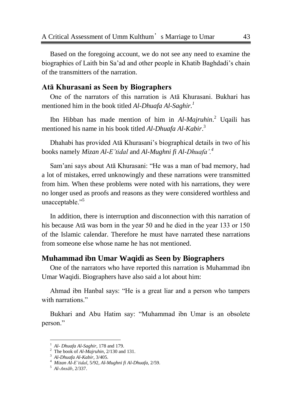Based on the foregoing account, we do not see any need to examine the biographies of Laith bin Sa'ad and other people in Khatib Baghdadi's chain of the transmitters of the narration.

# **Atā Khurasani as Seen by Biographers**

One of the narrators of this narration is Atā Khurasani. Bukhari has mentioned him in the book titled *Al-Dhuafa Al-Saghir.<sup>1</sup>*

Ibn Hibban has made mention of him in *Al-Majruhin*. <sup>2</sup> Uqaili has mentioned his name in his book titled *Al-Dhuafa Al-Kabir*. 3

Dhahabi has provided Atā Khurasani's biographical details in two of his books namely *Mizan Al-E"tidal* and *Al-Mughni fi Al-Dhuafa".<sup>4</sup>*

Sam'ani says about Atā Khurasani: "He was a man of bad memory, had a lot of mistakes, erred unknowingly and these narrations were transmitted from him. When these problems were noted with his narrations, they were no longer used as proofs and reasons as they were considered worthless and unacceptable."<sup>5</sup>

In addition, there is interruption and disconnection with this narration of his because Atā was born in the year 50 and he died in the year 133 or 150 of the Islamic calendar. Therefore he must have narrated these narrations from someone else whose name he has not mentioned.

#### **Muhammad ibn Umar Waqidi as Seen by Biographers**

One of the narrators who have reported this narration is Muhammad ibn Umar Waqidi. Biographers have also said a lot about him:

Ahmad ibn Hanbal says: "He is a great liar and a person who tampers with narrations."

Bukhari and Abu Hatim say: "Muhammad ibn Umar is an obsolete person."

<sup>1</sup> *Al- Dhuafa Al-Saghir*, 178 and 179.

<sup>2</sup> The book of *Al-Majruhin*, 2/130 and 131.

<sup>3</sup> *Al-Dhuafa Al-Kabir,* 3/405.

<sup>4</sup> *Mizan Al-E"tidal*, 5/92, *Al-Mughni fi Al-Dhuafa,* 2/59.

<sup>5</sup> *Al-Ansāb*, 2/337.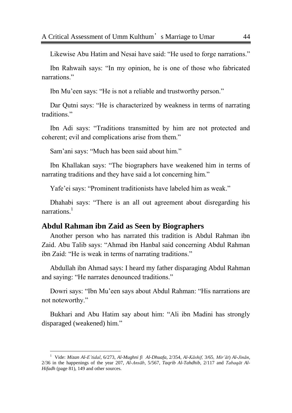Likewise Abu Hatim and Nesai have said: "He used to forge narrations."

Ibn Rahwaih says: "In my opinion, he is one of those who fabricated narrations"

Ibn Mu'een says: "He is not a reliable and trustworthy person."

Dar Qutni says: "He is characterized by weakness in terms of narrating traditions."

Ibn Adi says: "Traditions transmitted by him are not protected and coherent; evil and complications arise from them."

Sam'ani says: "Much has been said about him."

Ibn Khallakan says: "The biographers have weakened him in terms of narrating traditions and they have said a lot concerning him."

Yafe'ei says: "Prominent traditionists have labeled him as weak."

Dhahabi says: "There is an all out agreement about disregarding his narrations.<sup>1</sup>

#### **Abdul Rahman ibn Zaid as Seen by Biographers**

 $\overline{a}$ 

Another person who has narrated this tradition is Abdul Rahman ibn Zaid. Abu Talib says: "Ahmad ibn Hanbal said concerning Abdul Rahman ibn Zaid: "He is weak in terms of narrating traditions."

Abdullah ibn Ahmad says: I heard my father disparaging Abdul Rahman and saying: "He narrates denounced traditions."

Dowri says: "Ibn Mu'een says about Abdul Rahman: "His narrations are not noteworthy."

Bukhari and Abu Hatim say about him: "Ali ibn Madini has strongly disparaged (weakened) him."

<sup>1</sup> Vide: *Mizan Al-E"tidal*, 6/273, *Al-Mughni fi Al-Dhuafa,* 2/354, *Al-Kāshif,* 3/65*, Mir"āt*) *Al-Jinān*, 2/36 in the happenings of the year 207, *Al-Ansāb*, 5/567, *Taqrib Al-Tahdhib,* 2/117 and *Tabaqāt Al-Hifadh* (page 81), 149 and other sources.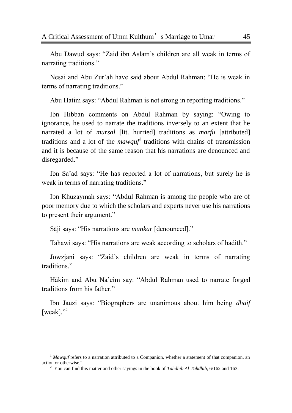Abu Dawud says: "Zaid ibn Aslam's children are all weak in terms of narrating traditions."

Nesai and Abu Zur'ah have said about Abdul Rahman: "He is weak in terms of narrating traditions."

Abu Hatim says: "Abdul Rahman is not strong in reporting traditions."

Ibn Hibban comments on Abdul Rahman by saying: "Owing to ignorance, he used to narrate the traditions inversely to an extent that he narrated a lot of *mursal* [lit. hurried] traditions as *marfu* [attributed] traditions and a lot of the *mawquf*<sup>1</sup> traditions with chains of transmission and it is because of the same reason that his narrations are denounced and disregarded."

Ibn Sa'ad says: "He has reported a lot of narrations, but surely he is weak in terms of narrating traditions."

Ibn Khuzaymah says: "Abdul Rahman is among the people who are of poor memory due to which the scholars and experts never use his narrations to present their argument."

Sāji says: "His narrations are *munkar* [denounced]."

 $\overline{a}$ 

Tahawi says: "His narrations are weak according to scholars of hadith."

Jowzjani says: "Zaid's children are weak in terms of narrating traditions."

Hākim and Abu Na'eim say: "Abdul Rahman used to narrate forged traditions from his father."

Ibn Jauzi says: "Biographers are unanimous about him being *dhaif* [weak]. $^{2}$ 

<sup>&</sup>lt;sup>1</sup> *Mawquf* refers to a narration attributed to a Companion, whether a statement of that companion, an action or otherwise."

<sup>2</sup> You can find this matter and other sayings in the book of *Tahdhib Al-Tahdhib,* 6/162 and 163.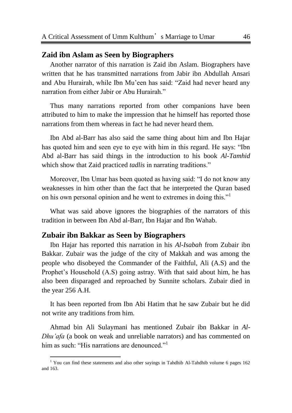# **Zaid ibn Aslam as Seen by Biographers**

Another narrator of this narration is Zaid ibn Aslam. Biographers have written that he has transmitted narrations from Jabir ibn Abdullah Ansari and Abu Hurairah, while Ibn Mu'een has said: "Zaid had never heard any narration from either Jabir or Abu Hurairah."

Thus many narrations reported from other companions have been attributed to him to make the impression that he himself has reported those narrations from them whereas in fact he had never heard them.

Ibn Abd al-Barr has also said the same thing about him and Ibn Hajar has quoted him and seen eye to eye with him in this regard. He says: "Ibn Abd al-Barr has said things in the introduction to his book *Al-Tamhid* which show that Zaid practiced *tadlis* in narrating traditions."

Moreover, Ibn Umar has been quoted as having said: "I do not know any weaknesses in him other than the fact that he interpreted the Quran based on his own personal opinion and he went to extremes in doing this."<sup>1</sup>

What was said above ignores the biographies of the narrators of this tradition in between Ibn Abd al-Barr, Ibn Hajar and Ibn Wahab.

#### **Zubair ibn Bakkar as Seen by Biographers**

 $\overline{a}$ 

Ibn Hajar has reported this narration in his *Al-Isabah* from Zubair ibn Bakkar. Zubair was the judge of the city of Makkah and was among the people who disobeyed the Commander of the Faithful, Ali (A.S) and the Prophet's Household (A.S) going astray. With that said about him, he has also been disparaged and reproached by Sunnite scholars. Zubair died in the year 256 A.H.

It has been reported from Ibn Abi Hatim that he saw Zubair but he did not write any traditions from him.

Ahmad bin Ali Sulaymani has mentioned Zubair ibn Bakkar in *Al-Dhu"afa* (a book on weak and unreliable narrators) and has commented on him as such: "His narrations are denounced."

<sup>&</sup>lt;sup>1</sup> You can find these statements and also other sayings in Tahdhib Al-Tahdhib volume 6 pages 162 and 163.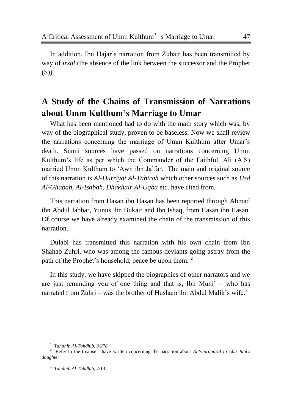In addition, Ibn Hajar's narration from Zubair has been transmitted by way of *irsal* (the absence of the link between the successor and the Prophet  $(S)$ ).

# **A Study of the Chains of Transmission of Narrations about Umm Kulthum's Marriage to Umar**

What has been mentioned had to do with the main story which was, by way of the biographical study, proven to be baseless. Now we shall review the narrations concerning the marriage of Umm Kulthum after Umar's death. Sunni sources have passed on narrations concerning Umm Kulthum's life as per which the Commander of the Faithful, Ali (A.S) married Umm Kulthum to 'Awn ibn Ja'far. The main and original source of this narration is *Al-Durriyat Al-Tahirah* which other sources such as *Usd Al-Ghabah, Al-Isabah, Dhakhair Al-Uqba* etc. have cited from.

This narration from Hasan ibn Hasan has been reported through Ahmad ibn Abdul Jabbar, Yunus ibn Bukair and Ibn Ishaq, from Hasan ibn Hasan. Of course we have already examined the chain of the transmission of this narration.

Dulabi has transmitted this narration with his own chain from Ibn Shahab Zuhri, who was among the famous deviants going astray from the path of the Prophet's household, peace be upon them.<sup>2</sup>

In this study, we have skipped the biographies of other narrators and we are just reminding you of one thing and that is, Ibn Muni' – who has narrated from Zuhri – was the brother of Husham ibn Abdul Mālik's wife.<sup>3</sup>

<sup>1</sup> *Tahdhib Al-Tahdhib, 3/278.*

<sup>2</sup> Refer to the treatise I have written concerning the narration about *Ali's proposal to Abu Jahl's daughter.*

<sup>3</sup> *Tahdhib Al-Tahdhib,* 7/13.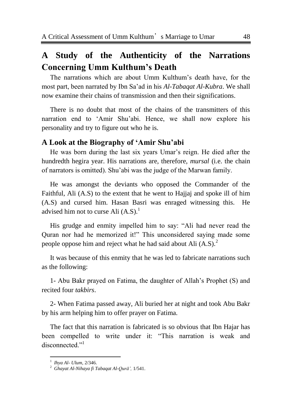# **A Study of the Authenticity of the Narrations Concerning Umm Kulthum's Death**

The narrations which are about Umm Kulthum's death have, for the most part, been narrated by Ibn Sa'ad in his *Al-Tabaqat Al-Kubra*. We shall now examine their chains of transmission and then their significations.

There is no doubt that most of the chains of the transmitters of this narration end to 'Amir Shu'abi. Hence, we shall now explore his personality and try to figure out who he is.

# **A Look at the Biography of 'Amir Shu'abi**

He was born during the last six years Umar's reign. He died after the hundredth hegira year. His narrations are, therefore, *mursal* (i.e. the chain of narrators is omitted). Shu'abi was the judge of the Marwan family.

He was amongst the deviants who opposed the Commander of the Faithful, Ali (A.S) to the extent that he went to Hajjaj and spoke ill of him (A.S) and cursed him. Hasan Basri was enraged witnessing this. He advised him not to curse Ali  $(A.S)^1$ 

His grudge and enmity impelled him to say: "Ali had never read the Quran nor had he memorized it!" This unconsidered saying made some people oppose him and reject what he had said about Ali  $(A.S)^2$ .

It was because of this enmity that he was led to fabricate narrations such as the following:

1- Abu Bakr prayed on Fatima, the daughter of Allah's Prophet (S) and recited four *takbirs*.

2- When Fatima passed away, Ali buried her at night and took Abu Bakr by his arm helping him to offer prayer on Fatima.

The fact that this narration is fabricated is so obvious that Ibn Hajar has been compelled to write under it: "This narration is weak and disconnected."<sup>1</sup>

<sup>1</sup> *Ihya Al- Ulum*, 2/346.

<sup>2</sup> *Ghayat Al-Nihaya fi Tabaqat Al-Qurā",* 1/541.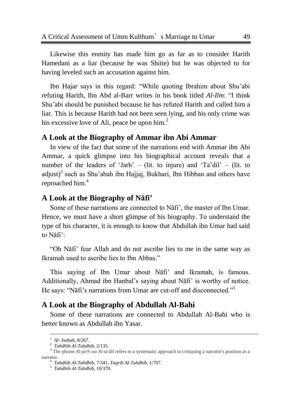Likewise this enmity has made him go as far as to consider Harith Hamedani as a liar (because he was Shiite) but he was objected to for having leveled such an accusation against him.

Ibn Hajar says in this regard: "While quoting Ibrahim about Shu'abi refuting Harith, Ibn Abd al-Barr writes in his book titled *Al-Ilm*: "I think Shu'abi should be punished because he has refuted Harith and called him a liar. This is because Harith had not been seen lying, and his only crime was his excessive love of Ali, peace be upon him.<sup>2</sup>

#### **A Look at the Biography of Ammar ibn Abi Ammar**

In view of the fact that some of the narrations end with Ammar ibn Abi Ammar, a quick glimpse into his biographical account reveals that a number of the leaders of 'Jarh' – (lit. to injure) and 'Ta'dil' – (lit. to adjust)<sup>3</sup> such as Shu'abah ibn Hajjaj, Bukhari, Ibn Hibban and others have reproached him.<sup>4</sup>

# **A Look at the Biography of Nāfi'**

Some of these narrations are connected to Nāfi', the master of Ibn Umar. Hence, we must have a short glimpse of his biography. To understand the type of his character, it is enough to know that Abdullah ibn Umar had said to Nāfi':

―Oh Nāfi' fear Allah and do not ascribe lies to me in the same way as Ikramah used to ascribe lies to Ibn Abbas."

This saying of Ibn Umar about Nāfi' and Ikramah, is famous. Additionally, Ahmad ibn Hanbal's saying about Nāfi' is worthy of notice. He says: "Nāfi's narrations from Umar are cut-off and disconnected."<sup>5</sup>

# **A Look at the Biography of Abdullah Al-Bahi**

Some of these narrations are connected to Abdullah Al-Bahi who is better known as Abdullah ibn Yasar.

<sup>1</sup> *Al- Isabah*, 8/267.

<sup>2</sup> *Tahdhib Al-Tahdhib,* 2/135.

<sup>&</sup>lt;sup>3</sup> The phrase *Al-jarh wa Al-ta'dil* refers to a systematic approach to critiquing a narrator's position as a narrator.

<sup>4</sup> *Tahdhib Al-Tahdhib,* 7/341, *Taqrib Al-Tahdhib*, 1/707.

<sup>5</sup> *Tahdhib Al-Tahdhib,* 10/370.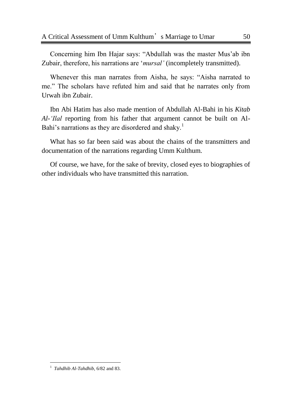Concerning him Ibn Hajar says: "Abdullah was the master Mus'ab ibn Zubair, therefore, his narrations are '*mursal'* (incompletely transmitted).

Whenever this man narrates from Aisha, he says: "Aisha narrated to me." The scholars have refuted him and said that he narrates only from Urwah ibn Zubair.

Ibn Abi Hatim has also made mention of Abdullah Al-Bahi in his *Kitab Al-"Ilal* reporting from his father that argument cannot be built on Al-Bahi's narrations as they are disordered and shaky.<sup>1</sup>

What has so far been said was about the chains of the transmitters and documentation of the narrations regarding Umm Kulthum.

Of course, we have, for the sake of brevity, closed eyes to biographies of other individuals who have transmitted this narration.

l

<sup>&</sup>lt;sup>1</sup> Tahdhib Al-Tahdhib, 6/82 and 83.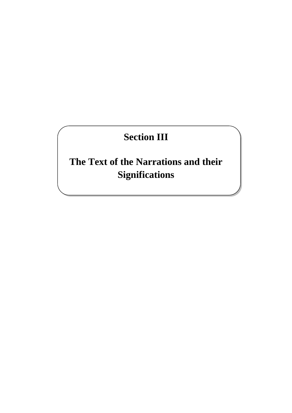# **Section III**

# **The Text of the Narrations and their Significations**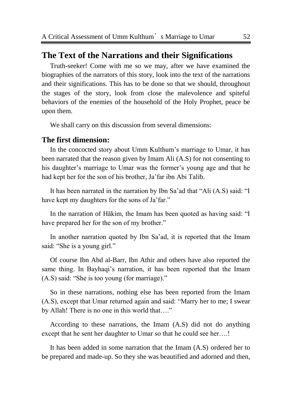# **The Text of the Narrations and their Significations**

Truth-seeker! Come with me so we may, after we have examined the biographies of the narrators of this story, look into the text of the narrations and their significations. This has to be done so that we should, throughout the stages of the story, look from close the malevolence and spiteful behaviors of the enemies of the household of the Holy Prophet, peace be upon them.

We shall carry on this discussion from several dimensions:

#### **The first dimension:**

In the concocted story about Umm Kulthum's marriage to Umar, it has been narrated that the reason given by Imam Ali (A.S) for not consenting to his daughter's marriage to Umar was the former's young age and that he had kept her for the son of his brother, Ja'far ibn Abi Talib.

It has been narrated in the narration by Ibn Sa'ad that "Ali (A.S) said: "I have kept my daughters for the sons of Ja'far."

In the narration of Hākim, the Imam has been quoted as having said: "I have prepared her for the son of my brother."

In another narration quoted by Ibn Sa'ad, it is reported that the Imam said: "She is a young girl."

Of course Ibn Abd al-Barr, Ibn Athir and others have also reported the same thing. In Bayhaqi's narration, it has been reported that the Imam  $(A.S)$  said: "She is too young (for marriage)."

So in these narrations, nothing else has been reported from the Imam (A.S), except that Umar returned again and said: "Marry her to me; I swear by Allah! There is no one in this world that...."

According to these narrations, the Imam (A.S) did not do anything except that he sent her daughter to Umar so that he could see her….!

It has been added in some narration that the Imam (A.S) ordered her to be prepared and made-up. So they she was beautified and adorned and then,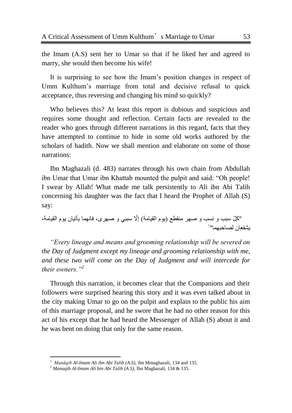the Imam (A.S) sent her to Umar so that if he liked her and agreed to marry, she would then become his wife!

It is surprising to see how the Imam's position changes in respect of Umm Kulthum's marriage from total and decisive refusal to quick acceptance, thus reversing and changing his mind so quickly?

Who believes this? At least this report is dubious and suspicious and requires some thought and reflection. Certain facts are revealed to the reader who goes through different narrations in this regard, facts that they have attempted to continue to hide in some old works authored by the scholars of hadith. Now we shall mention and elaborate on some of those narrations:

Ibn Maghazali (d. 483) narrates through his own chain from Abdullah ibn Umar that Umar ibn Khattab mounted the pulpit and said: "Oh people! I swear by Allah! What made me talk persistently to Ali ibn Abi Talib concerning his daughter was the fact that I heard the Prophet of Allah (S) say:

"و ًّ سبب ٚ ٔسب ٚ صٙس ِٕمطع )ٌَٛ اٌمٍبِة( إّّل سببً ٚ صٙسی، فبّٙٔب ٌأجٍبْ ٌَٛ اٌمٍبِة، 1ٌشفعبْ ٌصبحبّٙب"

*"Every lineage and means and grooming relationship will be severed on the Day of Judgment except my lineage and grooming relationship with me, and these two will come on the Day of Judgment and will intercede for their owners."<sup>2</sup>*

Through this narration, it becomes clear that the Companions and their followers were surprised hearing this story and it was even talked about in the city making Umar to go on the pulpit and explain to the public his aim of this marriage proposal, and he swore that he had no other reason for this act of his except that he had heard the Messenger of Allah (S) about it and he was bent on doing that only for the same reason.

<sup>&</sup>lt;sup>1</sup> Manāqib Al-Imam Ali ibn Abi Talib (A.S), ibn Mmaghazali, 134 and 135.

<sup>2</sup> *Manaqib Al-Imam Ali bin Abi Talib (A.S)*, Ibn Maghazali, 134 & 135.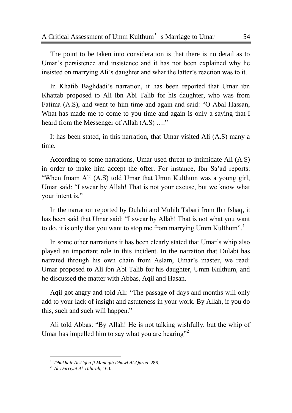The point to be taken into consideration is that there is no detail as to Umar's persistence and insistence and it has not been explained why he insisted on marrying Ali's daughter and what the latter's reaction was to it.

In Khatib Baghdadi's narration, it has been reported that Umar ibn Khattab proposed to Ali ibn Abi Talib for his daughter, who was from Fatima (A.S), and went to him time and again and said: "O Abal Hassan, What has made me to come to you time and again is only a saying that I heard from the Messenger of Allah (A.S) ...."

It has been stated, in this narration, that Umar visited Ali (A.S) many a time.

According to some narrations, Umar used threat to intimidate Ali (A.S) in order to make him accept the offer. For instance, Ibn Sa'ad reports: "When Imam Ali (A.S) told Umar that Umm Kulthum was a young girl, Umar said: "I swear by Allah! That is not your excuse, but we know what your intent is."

In the narration reported by Dulabi and Muhib Tabari from Ibn Ishaq, it has been said that Umar said: "I swear by Allah! That is not what you want to do, it is only that you want to stop me from marrying Umm Kulthum".

In some other narrations it has been clearly stated that Umar's whip also played an important role in this incident. In the narration that Dulabi has narrated through his own chain from Aslam, Umar's master, we read: Umar proposed to Ali ibn Abi Talib for his daughter, Umm Kulthum, and he discussed the matter with Abbas, Aqil and Hasan.

Aqil got angry and told Ali: "The passage of days and months will only add to your lack of insight and astuteness in your work. By Allah, if you do this, such and such will happen."

Ali told Abbas: "By Allah! He is not talking wishfully, but the whip of Umar has impelled him to say what you are hearing<sup> $2$ </sup>

<sup>1</sup> *Dhakhair Al-Uqba fi Manaqib Dhawi Al-Qurba*, 286.

<sup>2</sup> *Al-Durriyat Al-Tahirah*, 160.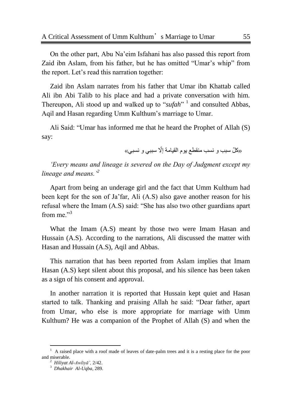On the other part, Abu Na'eim Isfahani has also passed this report from Zaid ibn Aslam, from his father, but he has omitted "Umar's whip" from the report. Let's read this narration together:

Zaid ibn Aslam narrates from his father that Umar ibn Khattab called Ali ibn Abi Talib to his place and had a private conversation with him. Thereupon, Ali stood up and walked up to "sufah"<sup>1</sup> and consulted Abbas, Aqil and Hasan regarding Umm Kulthum's marriage to Umar.

Ali Said: "Umar has informed me that he heard the Prophet of Allah (S) say:

«كلّ سبب و نسب منقطع يوم القيامة إلّا سببي و نسبي»

*"Every means and lineage is severed on the Day of Judgment except my lineage and means."<sup>2</sup>* 

Apart from being an underage girl and the fact that Umm Kulthum had been kept for the son of Ja'far, Ali (A.S) also gave another reason for his refusal where the Imam  $(A.S)$  said: "She has also two other guardians apart from me $^{3}$ 

What the Imam (A.S) meant by those two were Imam Hasan and Hussain (A.S). According to the narrations, Ali discussed the matter with Hasan and Hussain (A.S), Aqil and Abbas.

This narration that has been reported from Aslam implies that Imam Hasan (A.S) kept silent about this proposal, and his silence has been taken as a sign of his consent and approval.

In another narration it is reported that Hussain kept quiet and Hasan started to talk. Thanking and praising Allah he said: "Dear father, apart from Umar, who else is more appropriate for marriage with Umm Kulthum? He was a companion of the Prophet of Allah (S) and when the

l

<sup>1</sup> A raised place with a roof made of leaves of date-palm trees and it is a resting place for the poor and miserable.

<sup>2</sup> *Hiliyat Al-Awliyā",* 2/42. 3 *Dhakhair Al-Uqba,* 289.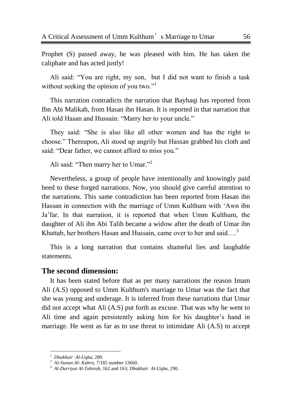Prophet (S) passed away, he was pleased with him. He has taken the caliphate and has acted justly!

Ali said: "You are right, my son, but I did not want to finish a task without seeking the opinion of you two." $\cdot$ <sup>1</sup>

This narration contradicts the narration that Bayhaqi has reported from Ibn Abi Malikah, from Hasan ibn Hasan. It is reported in that narration that Ali told Hasan and Hussain: "Marry her to your uncle."

They said: "She is also like all other women and has the right to choose.‖ Thereupon, Ali stood up angrily but Hassan grabbed his cloth and said: "Dear father, we cannot afford to miss you."

Ali said: "Then marry her to Umar."<sup>2</sup>

Nevertheless, a group of people have intentionally and knowingly paid heed to these forged narrations. Now, you should give careful attention to the narrations. This same contradiction has been reported from Hasan ibn Hassan in connection with the marriage of Umm Kulthum with 'Awn ibn Ja'far. In that narration, it is reported that when Umm Kulthum, the daughter of Ali ibn Abi Talib became a widow after the death of Umar ibn Khattab, her brothers Hasan and Hussain, came over to her and said....<sup>3</sup>

This is a long narration that contains shameful lies and laughable statements.

#### **The second dimension:**

It has been stated before that as per many narrations the reason Imam Ali (A.S) opposed to Umm Kulthum's marriage to Umar was the fact that she was young and underage. It is inferred from these narrations that Umar did not accept what Ali (A.S) put forth as excuse. That was why he went to Ali time and again persistently asking him for his daughter's hand in marriage. He went as far as to use threat to intimidate Ali (A.S) to accept

<sup>1</sup> *Dhakhair Al-Uqba,* 289.

<sup>2</sup> Al-*Sunan Al- Kubra*, 7/185 number 13660.

<sup>3</sup> *Al-Durriyat Al-Tahirah*, 162 and 163; *Dhakhair Al-Uqba,* 290.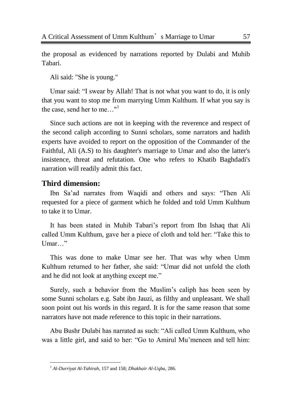the proposal as evidenced by narrations reported by Dulabi and Muhib Tabari.

Ali said: "She is young."

Umar said: "I swear by Allah! That is not what you want to do, it is only that you want to stop me from marrying Umm Kulthum. If what you say is the case, send her to me…"<sup>1</sup>

Since such actions are not in keeping with the reverence and respect of the second caliph according to Sunni scholars, some narrators and hadith experts have avoided to report on the opposition of the Commander of the Faithful, Ali (A.S) to his daughter's marriage to Umar and also the latter's insistence, threat and refutation. One who refers to Khatib Baghdadi's narration will readily admit this fact.

# **Third dimension:**

Ibn Sa'ad narrates from Waqidi and others and says: "Then Ali requested for a piece of garment which he folded and told Umm Kulthum to take it to Umar.

It has been stated in Muhib Tabari's report from Ibn Ishaq that Ali called Umm Kulthum, gave her a piece of cloth and told her: "Take this to Umar..."

This was done to make Umar see her. That was why when Umm Kulthum returned to her father, she said: "Umar did not unfold the cloth and he did not look at anything except me."

Surely, such a behavior from the Muslim's caliph has been seen by some Sunni scholars e.g. Sabt ibn Jauzi, as filthy and unpleasant. We shall soon point out his words in this regard. It is for the same reason that some narrators have not made reference to this topic in their narrations.

Abu Bushr Dulabi has narrated as such: "Ali called Umm Kulthum, who was a little girl, and said to her: "Go to Amirul Mu'meneen and tell him:

l <sup>1</sup> *Al-Durriyat Al-Tahirah*, 157 and 158; *Dhakhair Al-Uqba*, 286.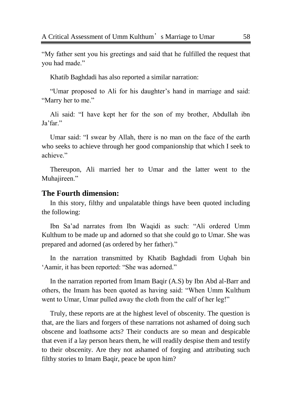―My father sent you his greetings and said that he fulfilled the request that you had made."

Khatib Baghdadi has also reported a similar narration:

―Umar proposed to Ali for his daughter's hand in marriage and said: "Marry her to me."

Ali said: "I have kept her for the son of my brother, Abdullah ibn Ja'far."

Umar said: "I swear by Allah, there is no man on the face of the earth who seeks to achieve through her good companionship that which I seek to achieve."

Thereupon, Ali married her to Umar and the latter went to the Muhajireen."

#### **The Fourth dimension:**

In this story, filthy and unpalatable things have been quoted including the following:

Ibn Sa'ad narrates from Ibn Waqidi as such: "Ali ordered Umm Kulthum to be made up and adorned so that she could go to Umar. She was prepared and adorned (as ordered by her father)."

In the narration transmitted by Khatib Baghdadi from Uqbah bin 'Aamir, it has been reported: "She was adorned."

In the narration reported from Imam Baqir (A.S) by Ibn Abd al-Barr and others, the Imam has been quoted as having said: "When Umm Kulthum" went to Umar, Umar pulled away the cloth from the calf of her leg!"

Truly, these reports are at the highest level of obscenity. The question is that, are the liars and forgers of these narrations not ashamed of doing such obscene and loathsome acts? Their conducts are so mean and despicable that even if a lay person hears them, he will readily despise them and testify to their obscenity. Are they not ashamed of forging and attributing such filthy stories to Imam Baqir, peace be upon him?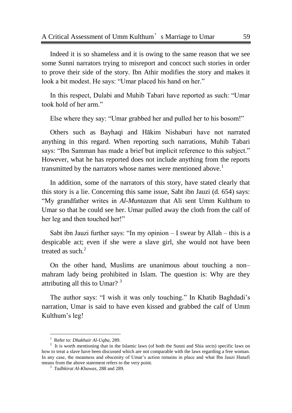Indeed it is so shameless and it is owing to the same reason that we see some Sunni narrators trying to misreport and concoct such stories in order to prove their side of the story. Ibn Athir modifies the story and makes it look a bit modest. He says: "Umar placed his hand on her."

In this respect, Dulabi and Muhib Tabari have reported as such: "Umar took hold of her arm."

Else where they say: "Umar grabbed her and pulled her to his bosom!"

Others such as Bayhaqi and Hākim Nishaburi have not narrated anything in this regard. When reporting such narrations, Muhib Tabari says: "Ibn Samman has made a brief but implicit reference to this subject." However, what he has reported does not include anything from the reports transmitted by the narrators whose names were mentioned above.<sup>1</sup>

In addition, some of the narrators of this story, have stated clearly that this story is a lie. Concerning this same issue, Sabt ibn Jauzi (d. 654) says: ―My grandfather writes in *Al-Muntazam* that Ali sent Umm Kulthum to Umar so that he could see her. Umar pulled away the cloth from the calf of her leg and then touched her!"

Sabt ibn Jauzi further says: "In my opinion  $-I$  swear by Allah – this is a despicable act; even if she were a slave girl, she would not have been treated as such. $2$ 

On the other hand, Muslims are unanimous about touching a non– mahram lady being prohibited in Islam. The question is: Why are they attributing all this to Umar? <sup>3</sup>

The author says: "I wish it was only touching." In Khatib Baghdadi's narration, Umar is said to have even kissed and grabbed the calf of Umm Kulthum's leg!

<sup>1</sup> Refer to: *Dhakhair Al-Uqba,* 289.

 $2<sup>2</sup>$  It is worth mentioning that in the Islamic laws (of both the Sunni and Shia sects) specific laws on how to treat a slave have been discussed which are not comparable with the laws regarding a free woman. In any case, the meanness and obscenity of Umar's action remains in place and what Ibn Jauzi Hanafi means from the above statement refers to the very point.

<sup>3</sup> *Tadhkirat Al-Khawas*, 288 and 289.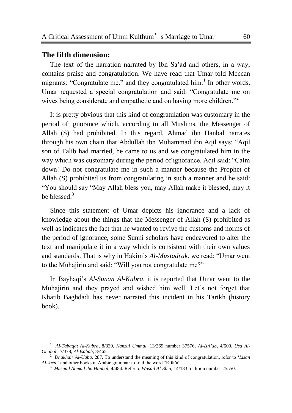#### **The fifth dimension:**

 $\overline{a}$ 

The text of the narration narrated by Ibn Sa'ad and others, in a way, contains praise and congratulation. We have read that Umar told Meccan migrants: "Congratulate me." and they congratulated him. $<sup>1</sup>$  In other words,</sup> Umar requested a special congratulation and said: "Congratulate me on wives being considerate and empathetic and on having more children."<sup>2</sup>

It is pretty obvious that this kind of congratulation was customary in the period of ignorance which, according to all Muslims, the Messenger of Allah (S) had prohibited. In this regard, Ahmad ibn Hanbal narrates through his own chain that Abdullah ibn Muhammad ibn Aqil says: "Aqil son of Talib had married, he came to us and we congratulated him in the way which was customary during the period of ignorance. Aqil said: "Calm" down! Do not congratulate me in such a manner because the Prophet of Allah (S) prohibited us from congratulating in such a manner and he said: "You should say "May Allah bless you, may Allah make it blessed, may it be blessed.<sup>3</sup>

Since this statement of Umar depicts his ignorance and a lack of knowledge about the things that the Messenger of Allah (S) prohibited as well as indicates the fact that he wanted to revive the customs and norms of the period of ignorance, some Sunni scholars have endeavored to alter the text and manipulate it in a way which is consistent with their own values and standards. That is why in Hākim's *Al-Mustadrak*, we read: "Umar went to the Muhajirin and said: "Will you not congratulate me?"

In Bayhaqi's *Al-Sunan Al-Kubra*, it is reported that Umar went to the Muhajirin and they prayed and wished him well. Let's not forget that Khatib Baghdadi has never narrated this incident in his Tarikh (history book).

<sup>1</sup> *Al-Tabaqat Al-Kubra*, 8/339, *Kanzul Ummal*, 13/269 number 37576, *Al-Isti"ab,* 4/509, *Usd Al-Ghabah*, 7/378, *Al-Isabah*, 8/465.

<sup>&</sup>lt;sup>2</sup> Dhakhair Al-Uqba, 287. To understand the meaning of this kind of congratulation, refer to 'Lisan *Al-Arab'* and other books in Arabic grammar to find the word "Rifa'a".

<sup>3</sup> *Musnad Ahmad ibn Hanbal,* 4/484. Refer to *Wasail Al-Shia,* 14/183 tradition number 25550.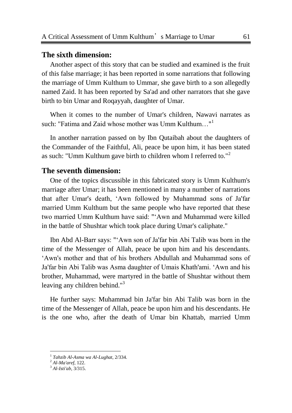#### **The sixth dimension:**

Another aspect of this story that can be studied and examined is the fruit of this false marriage; it has been reported in some narrations that following the marriage of Umm Kulthum to Ummar, she gave birth to a son allegedly named Zaid. It has been reported by Sa'ad and other narrators that she gave birth to bin Umar and Roqayyah, daughter of Umar.

When it comes to the number of Umar's children, Nawavi narrates as such: "Fatima and Zaid whose mother was Umm Kulthum..."<sup>1</sup>

In another narration passed on by Ibn Qutaibah about the daughters of the Commander of the Faithful, Ali, peace be upon him, it has been stated as such: "Umm Kulthum gave birth to children whom I referred to."<sup>2</sup>

### **The seventh dimension:**

One of the topics discussible in this fabricated story is Umm Kulthum's marriage after Umar; it has been mentioned in many a number of narrations that after Umar's death, ‗Awn followed by Muhammad sons of Ja'far married Umm Kulthum but the same people who have reported that these two married Umm Kulthum have said: "‗Awn and Muhammad were killed in the battle of Shushtar which took place during Umar's caliphate."

Ibn Abd Al-Barr says: "‗Awn son of Ja'far bin Abi Talib was born in the time of the Messenger of Allah, peace be upon him and his descendants. ‗Awn's mother and that of his brothers Abdullah and Muhammad sons of Ja'far bin Abi Talib was Asma daughter of Umais Khath'ami. ‗Awn and his brother, Muhammad, were martyred in the battle of Shushtar without them leaving any children behind."<sup>3</sup>

He further says: Muhammad bin Ja'far bin Abi Talib was born in the time of the Messenger of Allah, peace be upon him and his descendants. He is the one who, after the death of Umar bin Khattab, married Umm

<sup>1</sup> *Tahzib Al-Asma wa Al-Lughat*, 2/334.

<sup>2</sup> *Al-Ma'aref*, 122.

<sup>3</sup> *Al-Isti'ab,* 3/315.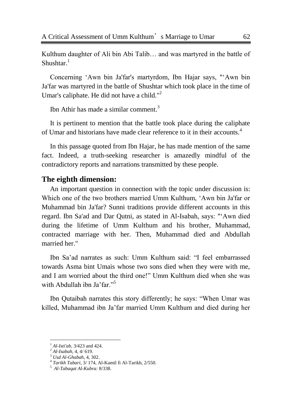Kulthum daughter of Ali bin Abi Talib… and was martyred in the battle of Shushtar $^{-1}$ 

Concerning ‗Awn bin Ja'far's martyrdom, Ibn Hajar says, "‗Awn bin Ja'far was martyred in the battle of Shushtar which took place in the time of Umar's caliphate. He did not have a child." $2$ 

Ibn Athir has made a similar comment $<sup>3</sup>$ </sup>

It is pertinent to mention that the battle took place during the caliphate of Umar and historians have made clear reference to it in their accounts.<sup>4</sup>

In this passage quoted from Ibn Hajar, he has made mention of the same fact. Indeed, a truth-seeking researcher is amazedly mindful of the contradictory reports and narrations transmitted by these people.

#### **The eighth dimension:**

An important question in connection with the topic under discussion is: Which one of the two brothers married Umm Kulthum, 'Awn bin Ja'far or Muhammad bin Ja'far? Sunni traditions provide different accounts in this regard. Ibn Sa'ad and Dar Qutni, as stated in Al-Isabah, says: "‗Awn died during the lifetime of Umm Kulthum and his brother, Muhammad, contracted marriage with her. Then, Muhammad died and Abdullah married her."

Ibn Sa'ad narrates as such: Umm Kulthum said: "I feel embarrassed towards Asma bint Umais whose two sons died when they were with me, and I am worried about the third one!" Umm Kulthum died when she was with Abdullah ibn Ja'far."<sup>5</sup>

Ibn Qutaibah narrates this story differently; he says: "When Umar was killed, Muhammad ibn Ja'far married Umm Kulthum and died during her

<sup>1</sup> *Al-Isti'ab,* 3/423 and 424.

<sup>2</sup> *Al-Isabah*, 4, 4/ 619.

<sup>3</sup> *Usd Al-Ghabah*, 4, 302.

<sup>4</sup> *Tarikh Tabari*, 3/ 174, Al-Kamil fi Al-Tarikh, 2/550.

<sup>5</sup> *Al-Tabaqat Al-Kubra:* 8/338.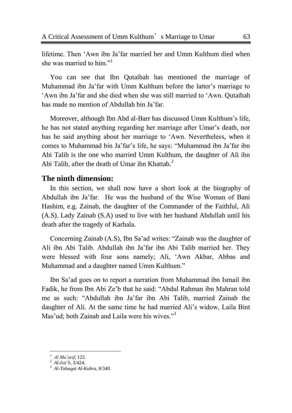lifetime. Then 'Awn ibn Ja'far married her and Umm Kulthum died when she was married to him<sup>"1</sup>

You can see that Ibn Qutaibah has mentioned the marriage of Muhammad ibn Ja'far with Umm Kulthum before the latter's marriage to ‗Awn ibn Ja'far and she died when she was still married to ‗Awn. Qutaibah has made no mention of Abdullah bin Ja'far.

Moreover, although Ibn Abd al-Barr has discussed Umm Kulthum's life, he has not stated anything regarding her marriage after Umar's death, nor has he said anything about her marriage to 'Awn. Nevertheless, when it comes to Muhammad bin Ja'far's life, he says: "Muhammad ibn Ja'far ibn Abi Talib is the one who married Umm Kulthum, the daughter of Ali ibn Abi Talib, after the death of Umar ibn Khattab. $2^2$ 

#### **The ninth dimension:**

In this section, we shall now have a short look at the biography of Abdullah ibn Ja'far. He was the husband of the Wise Woman of Bani Hashim, e.g. Zainab, the daughter of the Commander of the Faithful, Ali (A.S). Lady Zainab (S.A) used to live with her husband Abdullah until his death after the tragedy of Karbala.

Concerning Zainab (A.S), Ibn Sa'ad writes: "Zainab was the daughter of Ali ibn Abi Talib. Abdullah ibn Ja'far ibn Abi Talib married her. They were blessed with four sons namely; Ali, 'Awn Akbar, Abbas and Muhammad and a daughter named Umm Kulthum."

Ibn Sa'ad goes on to report a narration from Muhammad ibn Ismail ibn Fadik, he from Ibn Abi Ze'b that he said: "Abdul Rahman ibn Mahran told me as such: "Abdullah ibn Ja'far ibn Abi Talib, married Zainab the daughter of Ali. At the same time he had married Ali's widow, Laila Bint Mas'ud; both Zainab and Laila were his wives."<sup>3</sup>

<sup>1</sup> *Al Ma"arif*, 122.

<sup>2</sup> *Al-Isti"b*, 3/424.

<sup>3</sup> *Al-Tabaqat Al-Kubra*, 8/340.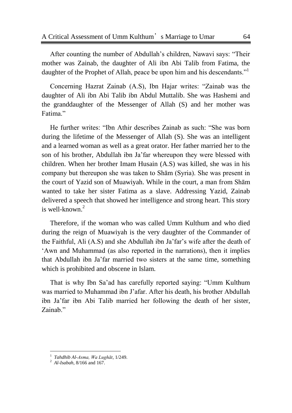After counting the number of Abdullah's children, Nawavi says: "Their mother was Zainab, the daughter of Ali ibn Abi Talib from Fatima, the daughter of the Prophet of Allah, peace be upon him and his descendants."

Concerning Hazrat Zainab (A.S), Ibn Hajar writes: "Zainab was the daughter of Ali ibn Abi Talib ibn Abdul Muttalib. She was Hashemi and the granddaughter of the Messenger of Allah (S) and her mother was Fatima."

He further writes: "Ibn Athir describes Zainab as such: "She was born during the lifetime of the Messenger of Allah (S). She was an intelligent and a learned woman as well as a great orator. Her father married her to the son of his brother, Abdullah ibn Ja'far whereupon they were blessed with children. When her brother Imam Husain (A.S) was killed, she was in his company but thereupon she was taken to Shām (Syria). She was present in the court of Yazid son of Muawiyah. While in the court, a man from Shām wanted to take her sister Fatima as a slave. Addressing Yazid, Zainab delivered a speech that showed her intelligence and strong heart. This story is well-known.<sup>2</sup>

Therefore, if the woman who was called Umm Kulthum and who died during the reign of Muawiyah is the very daughter of the Commander of the Faithful, Ali (A.S) and she Abdullah ibn Ja'far's wife after the death of ‗Awn and Muhammad (as also reported in the narrations), then it implies that Abdullah ibn Ja'far married two sisters at the same time, something which is prohibited and obscene in Islam.

That is why Ibn Sa'ad has carefully reported saying: "Umm Kulthum" was married to Muhammad ibn J'afar. After his death, his brother Abdullah ibn Ja'far ibn Abi Talib married her following the death of her sister, Zainab."

<sup>1</sup> *Tahdhib Al-Asma, Wa Lughāt*, 1/249.

<sup>2</sup> *Al-Isabah*, 8/166 and 167.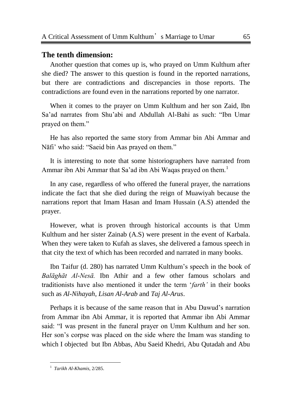#### **The tenth dimension:**

Another question that comes up is, who prayed on Umm Kulthum after she died? The answer to this question is found in the reported narrations, but there are contradictions and discrepancies in those reports. The contradictions are found even in the narrations reported by one narrator.

When it comes to the prayer on Umm Kulthum and her son Zaid, Ibn Sa'ad narrates from Shu'abi and Abdullah Al-Bahi as such: "Ibn Umar prayed on them."

He has also reported the same story from Ammar bin Abi Ammar and Nāfi' who said: "Saeid bin Aas prayed on them."

It is interesting to note that some historiographers have narrated from Ammar ibn Abi Ammar that Sa'ad ibn Abi Waqas prayed on them.<sup>1</sup>

In any case, regardless of who offered the funeral prayer, the narrations indicate the fact that she died during the reign of Muawiyah because the narrations report that Imam Hasan and Imam Hussain (A.S) attended the prayer.

However, what is proven through historical accounts is that Umm Kulthum and her sister Zainab (A.S) were present in the event of Karbala. When they were taken to Kufah as slaves, she delivered a famous speech in that city the text of which has been recorded and narrated in many books.

Ibn Taifur (d. 280) has narrated Umm Kulthum's speech in the book of *Balāghāt Al-Nesā.* Ibn Athir and a few other famous scholars and traditionists have also mentioned it under the term *'farth'* in their books such as *Al-Nihayah*, *Lisan Al-Arab* and *Taj Al-Arus*.

Perhaps it is because of the same reason that in Abu Dawud's narration from Ammar ibn Abi Ammar, it is reported that Ammar ibn Abi Ammar said: "I was present in the funeral prayer on Umm Kulthum and her son. Her son's corpse was placed on the side where the Imam was standing to which I objected but Ibn Abbas, Abu Saeid Khedri, Abu Qutadah and Abu

 1 *Tarikh Al-Khamis,* 2/285.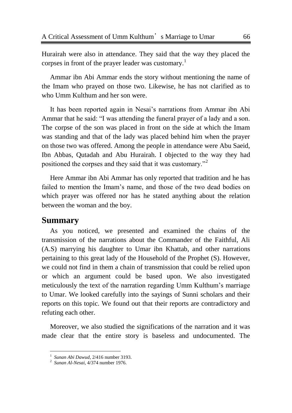Hurairah were also in attendance. They said that the way they placed the corpses in front of the prayer leader was customary.<sup>1</sup>

Ammar ibn Abi Ammar ends the story without mentioning the name of the Imam who prayed on those two. Likewise, he has not clarified as to who Umm Kulthum and her son were.

It has been reported again in Nesai's narrations from Ammar ibn Abi Ammar that he said: "I was attending the funeral prayer of a lady and a son. The corpse of the son was placed in front on the side at which the Imam was standing and that of the lady was placed behind him when the prayer on those two was offered. Among the people in attendance were Abu Saeid, Ibn Abbas, Qutadah and Abu Hurairah. I objected to the way they had positioned the corpses and they said that it was customary."<sup>2</sup>

Here Ammar ibn Abi Ammar has only reported that tradition and he has failed to mention the Imam's name, and those of the two dead bodies on which prayer was offered nor has he stated anything about the relation between the woman and the boy.

# **Summary**

 $\overline{a}$ 

As you noticed, we presented and examined the chains of the transmission of the narrations about the Commander of the Faithful, Ali (A.S) marrying his daughter to Umar ibn Khattab, and other narrations pertaining to this great lady of the Household of the Prophet (S). However, we could not find in them a chain of transmission that could be relied upon or which an argument could be based upon. We also investigated meticulously the text of the narration regarding Umm Kulthum's marriage to Umar. We looked carefully into the sayings of Sunni scholars and their reports on this topic. We found out that their reports are contradictory and refuting each other.

Moreover, we also studied the significations of the narration and it was made clear that the entire story is baseless and undocumented. The

<sup>1</sup> *Sunan Abi Dawud*, 2/416 number 3193.

<sup>2</sup> *Sunan Al-Nesai*, 4/374 number 1976.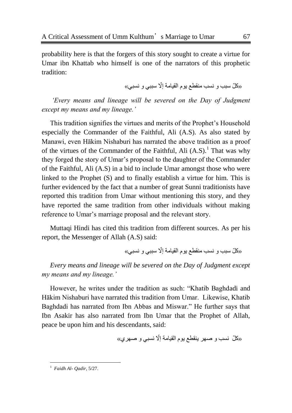probability here is that the forgers of this story sought to create a virtue for Umar ibn Khattab who himself is one of the narrators of this prophetic tradition:

«كلّ سبب و نسب منقطع يوم القيامة إلّا سببي و نسبي»

*"Every means and lineage will be severed on the Day of Judgment except my means and my lineage."*

This tradition signifies the virtues and merits of the Prophet's Household especially the Commander of the Faithful, Ali (A.S). As also stated by Manawi, even Hākim Nishaburi has narrated the above tradition as a proof of the virtues of the Commander of the Faithful, Ali  $(A.S)^1$ . That was why they forged the story of Umar's proposal to the daughter of the Commander of the Faithful, Ali (A.S) in a bid to include Umar amongst those who were linked to the Prophet (S) and to finally establish a virtue for him. This is further evidenced by the fact that a number of great Sunni traditionists have reported this tradition from Umar without mentioning this story, and they have reported the same tradition from other individuals without making reference to Umar's marriage proposal and the relevant story.

Muttaqi Hindi has cited this tradition from different sources. As per his report, the Messenger of Allah (A.S) said:

«كُلّ سبب و ِ نسب منقطع يوم القيامة إلّا سببي و ِ نسبي»

*Every means and lineage will be severed on the Day of Judgment except my means and my lineage."*

However, he writes under the tradition as such: "Khatib Baghdadi and Hākim Nishaburi have narrated this tradition from Umar. Likewise, Khatib Baghdadi has narrated from Ibn Abbas and Miswar." He further says that Ibn Asakir has also narrated from Ibn Umar that the Prophet of Allah, peace be upon him and his descendants, said:

«كُلّ نسب و صـهر ينقطـع يوم القيامة إلّا نسبي و صـهري»

 1 *Faidh Al- Qadir*, 5/27.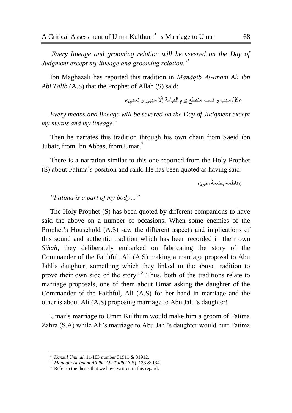*Every lineage and grooming relation will be severed on the Day of Judgment except my lineage and grooming relation."<sup>1</sup>*

Ibn Maghazali has reported this tradition in *Manāqib Al-Imam Ali ibn Abi Talib* (A.S) that the Prophet of Allah (S) said:

«کُلّ سبب و نسب منقطع يو م القيامة إلّا سببي و نسبي»

*Every means and lineage will be severed on the Day of Judgment except my means and my lineage."*

Then he narrates this tradition through his own chain from Saeid ibn Jubair, from Ibn Abbas, from Umar.<sup>2</sup>

There is a narration similar to this one reported from the Holy Prophet (S) about Fatima's position and rank. He has been quoted as having said:

«فاطمة بضعة مني»

#### *"Fatima is a part of my body…"*

The Holy Prophet (S) has been quoted by different companions to have said the above on a number of occasions. When some enemies of the Prophet's Household (A.S) saw the different aspects and implications of this sound and authentic tradition which has been recorded in their own *Sihah*, they deliberately embarked on fabricating the story of the Commander of the Faithful, Ali (A.S) making a marriage proposal to Abu Jahl's daughter, something which they linked to the above tradition to prove their own side of the story."<sup>3</sup> Thus, both of the traditions relate to marriage proposals, one of them about Umar asking the daughter of the Commander of the Faithful, Ali (A.S) for her hand in marriage and the other is about Ali (A.S) proposing marriage to Abu Jahl's daughter!

Umar's marriage to Umm Kulthum would make him a groom of Fatima Zahra (S.A) while Ali's marriage to Abu Jahl's daughter would hurt Fatima

<sup>1</sup> *Kanzul Ummal*, 11/183 number 31911 & 31912.

<sup>2</sup> *Manaqib Al-Imam Ali ibn Abi Talib* (A.S), 133 & 134.

 $3$  Refer to the thesis that we have written in this regard.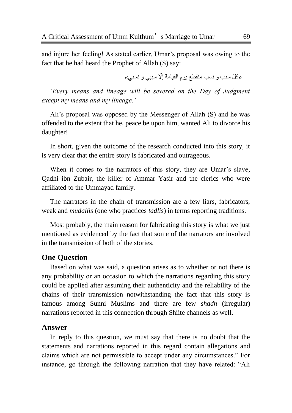and injure her feeling! As stated earlier, Umar's proposal was owing to the fact that he had heard the Prophet of Allah (S) say:

«كُلّ سبب و ِ نسب منقطع يوم القيامة إلّا سببي و ِ نسبي»

*"Every means and lineage will be severed on the Day of Judgment except my means and my lineage."*

Ali's proposal was opposed by the Messenger of Allah (S) and he was offended to the extent that he, peace be upon him, wanted Ali to divorce his daughter!

In short, given the outcome of the research conducted into this story, it is very clear that the entire story is fabricated and outrageous.

When it comes to the narrators of this story, they are Umar's slave, Qadhi ibn Zubair, the killer of Ammar Yasir and the clerics who were affiliated to the Ummayad family.

The narrators in the chain of transmission are a few liars, fabricators, weak and *mudallis* (one who practices *tadlis*) in terms reporting traditions.

Most probably, the main reason for fabricating this story is what we just mentioned as evidenced by the fact that some of the narrators are involved in the transmission of both of the stories.

### **One Question**

Based on what was said, a question arises as to whether or not there is any probability or an occasion to which the narrations regarding this story could be applied after assuming their authenticity and the reliability of the chains of their transmission notwithstanding the fact that this story is famous among Sunni Muslims and there are few *shadh* (irregular) narrations reported in this connection through Shiite channels as well.

#### **Answer**

In reply to this question, we must say that there is no doubt that the statements and narrations reported in this regard contain allegations and claims which are not permissible to accept under any circumstances." For instance, go through the following narration that they have related: "Ali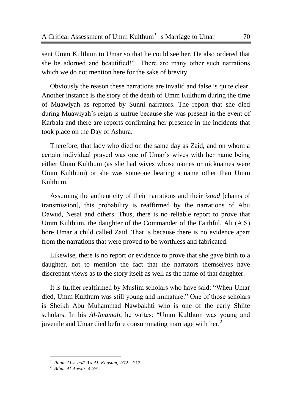sent Umm Kulthum to Umar so that he could see her. He also ordered that she be adorned and beautified!" There are many other such narrations which we do not mention here for the sake of brevity.

Obviously the reason these narrations are invalid and false is quite clear. Another instance is the story of the death of Umm Kulthum during the time of Muawiyah as reported by Sunni narrators. The report that she died during Muawiyah's reign is untrue because she was present in the event of Karbala and there are reports confirming her presence in the incidents that took place on the Day of Ashura.

Therefore, that lady who died on the same day as Zaid, and on whom a certain individual prayed was one of Umar's wives with her name being either Umm Kulthum (as she had wives whose names or nicknames were Umm Kulthum) or she was someone bearing a name other than Umm  $K$ ulthum. $<sup>1</sup>$ </sup>

Assuming the authenticity of their narrations and their *isnad* [chains of transmission], this probability is reaffirmed by the narrations of Abu Dawud, Nesai and others. Thus, there is no reliable report to prove that Umm Kulthum, the daughter of the Commander of the Faithful, Ali (A.S) bore Umar a child called Zaid. That is because there is no evidence apart from the narrations that were proved to be worthless and fabricated.

Likewise, there is no report or evidence to prove that she gave birth to a daughter, not to mention the fact that the narrators themselves have discrepant views as to the story itself as well as the name of that daughter.

It is further reaffirmed by Muslim scholars who have said: "When Umar died, Umm Kulthum was still young and immature." One of those scholars is Sheikh Abu Muhammad Nawbakhti who is one of the early Shiite scholars. In his *Al-Imamah*, he writes: "Umm Kulthum was young and juvenile and Umar died before consummating marriage with her. $<sup>2</sup>$ </sup>

 $\overline{a}$ 

<sup>1</sup> *Ifham Al-A"adā Wa Al- Khusum*, 2/72 – 212.

<sup>2</sup> *Bihar Al-Anwar,* 42/91.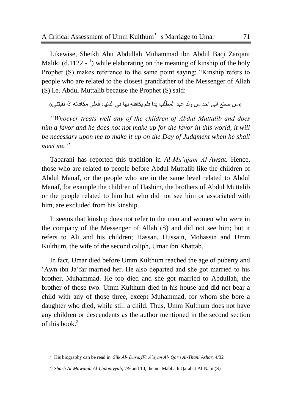Likewise, Sheikh Abu Abdullah Muhammad ibn Abdul Baqi Zarqani Maliki (d.1122 -  $\frac{1}{2}$ ) while elaborating on the meaning of kinship of the holy Prophet (S) makes reference to the same point saying: "Kinship refers to people who are related to the closest grandfather of the Messenger of Allah (S) i.e. Abdul Muttalib because the Prophet (S) said:

«من صنع الى احد من ولد عبد المطّلب يدا فلم يكافئه بها في الدنيا، فعلي مكافاته اذا لقيتني»

*"Whoever treats well any of the children of Abdul Muttalib and does him a favor and he does not not make up for the favor in this world, it will be necessary upon me to make it up on the Day of Judgment when he shall meet me."*

Tabarani has reported this tradition in *Al-Mu"ujam Al-Awsat.* Hence*,*  those who are related to people before Abdul Muttalib like the children of Abdul Manaf, or the people who are in the same level related to Abdul Manaf, for example the children of Hashim, the brothers of Abdul Muttalib or the people related to him but who did not see him or associated with him, are excluded from his kinship.

It seems that kinship does not refer to the men and women who were in the company of the Messenger of Allah (S) and did not see him; but it refers to Ali and his children; Hassan, Hussain, Mohassin and Umm Kulthum, the wife of the second caliph, Umar ibn Khattab.

In fact, Umar died before Umm Kulthum reached the age of puberty and ‗Awn ibn Ja'far married her. He also departed and she got married to his brother, Muhammad. He too died and she got married to Abdullah, the brother of those two. Umm Kulthum died in his house and did not bear a child with any of those three, except Muhammad, for whom she bore a daughter who died, while still a child. Thus, Umm Kulthum does not have any children or descendents as the author mentioned in the second section of this book.<sup>2</sup>

 1 His biography can be read in *Silk Al- DurarfFi A"ayan Al- Qarn Al-Thani Ashar,* 4/32

<sup>2</sup> *Sharh Al-Mawahib Al-Ladoniyyah*, 7/9 and 10, theme: Mabhath Qarabat Al-Nabi (S).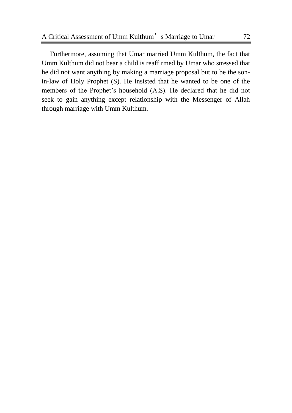Furthermore, assuming that Umar married Umm Kulthum, the fact that Umm Kulthum did not bear a child is reaffirmed by Umar who stressed that he did not want anything by making a marriage proposal but to be the sonin-law of Holy Prophet (S). He insisted that he wanted to be one of the members of the Prophet's household (A.S). He declared that he did not seek to gain anything except relationship with the Messenger of Allah through marriage with Umm Kulthum.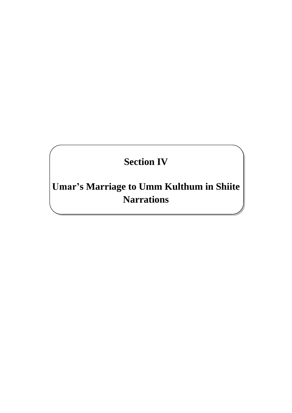# **Section IV**

**Umar's Marriage to Umm Kulthum in Shiite Narrations**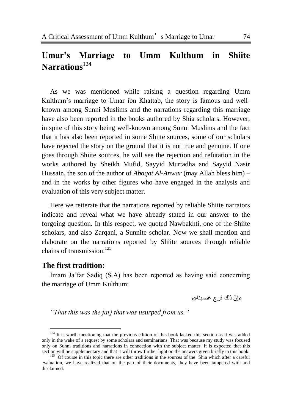# **Umar's Marriage to Umm Kulthum in Shiite Narrations**<sup>124</sup>

As we was mentioned while raising a question regarding Umm Kulthum's marriage to Umar ibn Khattab, the story is famous and wellknown among Sunni Muslims and the narrations regarding this marriage have also been reported in the books authored by Shia scholars. However, in spite of this story being well-known among Sunni Muslims and the fact that it has also been reported in some Shiite sources, some of our scholars have rejected the story on the ground that it is not true and genuine. If one goes through Shiite sources, he will see the rejection and refutation in the works authored by Sheikh Mufid, Sayyid Murtadha and Sayyid Nasir Hussain, the son of the author of *Abaqat Al-Anwar* (may Allah bless him) – and in the works by other figures who have engaged in the analysis and evaluation of this very subject matter.

Here we reiterate that the narrations reported by reliable Shiite narrators indicate and reveal what we have already stated in our answer to the forgoing question. In this respect, we quoted Nawbakhti, one of the Shiite scholars, and also Zarqani, a Sunnite scholar. Now we shall mention and elaborate on the narrations reported by Shiite sources through reliable chains of transmission.<sup>125</sup>

#### **The first tradition:**

l

Imam Ja'far Sadiq (S.A) has been reported as having said concerning the marriage of Umm Kulthum:

«إِنَّ ذَلَكَ فَرِجٍ غصبِناهِ»

*"That this was the farj that was usurped from us."* 

 $124$  It is worth mentioning that the previous edition of this book lacked this section as it was added only in the wake of a request by some scholars and seminarians. That was because my study was focused only on Sunni traditions and narrations in connection with the subject matter. It is expected that this section will be supplementary and that it will throw further light on the answers given briefly in this book.

<sup>&</sup>lt;sup>125</sup> Of course in this topic there are other traditions in the sources of the Shia which after a careful evaluation, we have realized that on the part of their documents, they have been tampered with and disclaimed.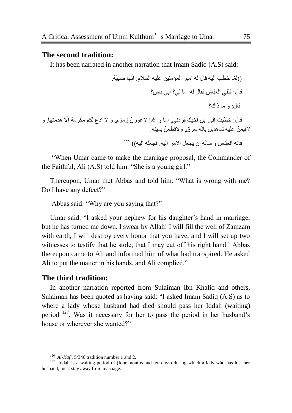#### **The second tradition:**

It has been narrated in another narration that Imam Sadiq (A.S) said:

))ٌ ّّب خطب اٌٍٗ لبي ٌٗ اٍِس اٌّؤٍِٕٓ عٍٍٗ اٌسال:َ اّٙٔب صبٍّة. لبي: فٍمً اٌعبّبض فمبي :ٌٗ ِب ًٌ؟ ابً ببض؟ لبي: ٚ ِب ذان؟

دع ٌىُ ِىسِة اّّل لبي: خطبث اٌى ابٓ اخٍه فسد,ًٔ اِب ٚ هللا! ّلعٛز ّْ شِص,َ ٚ ّل ا ٘دِحٙب, ٚ ّللٍّ ّٓ عٍٍٗ شب٘دٌٓ ببّٗٔ سسق, ّٚللطع ّٓ .ٌٍّٕٗ

فاته العبّاس و ساله ان يجعل الامر اليه. فجعله اليه)) '''

―When Umar came to make the marriage proposal, the Commander of the Faithful, Ali  $(A.S)$  told him: "She is a young girl."

Thereupon, Umar met Abbas and told him: "What is wrong with me? Do I have any defect?"

Abbas said: "Why are you saying that?"

Umar said: "I asked your nephew for his daughter's hand in marriage, but he has turned me down. I swear by Allah! I will fill the well of Zamzam with earth, I will destroy every honor that you have, and I will set up two witnesses to testify that he stole, that I may cut off his right hand.' Abbas thereupon came to Ali and informed him of what had transpired. He asked Ali to put the matter in his hands, and Ali complied."

#### **The third tradition:**

 $\overline{a}$ 

In another narration reported from Sulaiman ibn Khalid and others, Sulaiman has been quoted as having said: "I asked Imam Sadiq (A.S) as to where a lady whose husband had died should pass her Iddah (waiting) period <sup>127</sup>. Was it necessary for her to pass the period in her husband's house or wherever she wanted?"

 $126$  *Al-Kafi*, 5/346 tradition number 1 and 2.

 $127$  Iddah is a waiting period of (four months and ten days) during which a lady who has lost her husband, must stay away from marriage.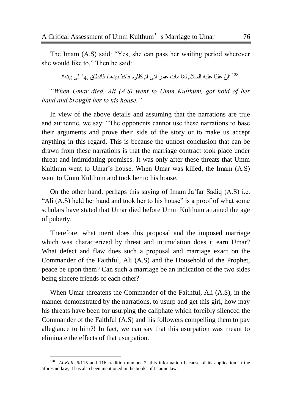The Imam (A.S) said: "Yes, she can pass her waiting period wherever she would like to." Then he said:

"إنّ عليّا عليه السلام لمّا مات عمر اتى امّ كلثوم فاخذ بيدها، فانطلق بها الى بينه"،"

*"When Umar died, Ali (A.S) went to Umm Kulthum, got hold of her hand and brought her to his house."*

In view of the above details and assuming that the narrations are true and authentic, we say: "The opponents cannot use these narrations to base their arguments and prove their side of the story or to make us accept anything in this regard. This is because the utmost conclusion that can be drawn from these narrations is that the marriage contract took place under threat and intimidating promises. It was only after these threats that Umm Kulthum went to Umar's house. When Umar was killed, the Imam (A.S) went to Umm Kulthum and took her to his house.

On the other hand, perhaps this saying of Imam Ja'far Sadiq (A.S) i.e. "Ali (A.S) held her hand and took her to his house" is a proof of what some scholars have stated that Umar died before Umm Kulthum attained the age of puberty.

Therefore, what merit does this proposal and the imposed marriage which was characterized by threat and intimidation does it earn Umar? What defect and flaw does such a proposal and marriage exact on the Commander of the Faithful, Ali (A.S) and the Household of the Prophet, peace be upon them? Can such a marriage be an indication of the two sides being sincere friends of each other?

When Umar threatens the Commander of the Faithful, Ali (A.S), in the manner demonstrated by the narrations, to usurp and get this girl, how may his threats have been for usurping the caliphate which forcibly silenced the Commander of the Faithful (A.S) and his followers compelling them to pay allegiance to him?! In fact, we can say that this usurpation was meant to eliminate the effects of that usurpation.

<sup>&</sup>lt;sup>128</sup> *Al-Kafi*, 6/115 and 116 tradition number 2, this information because of its application in the aforesaid law, it has also been mentioned in the books of Islamic laws.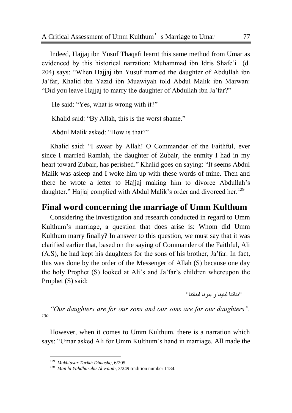Indeed, Hajjaj ibn Yusuf Thaqafi learnt this same method from Umar as evidenced by this historical narration: Muhammad ibn Idris Shafe'i (d. 204) says: "When Hajjaj ibn Yusuf married the daughter of Abdullah ibn Ja'far, Khalid ibn Yazid ibn Muawiyah told Abdul Malik ibn Marwan: "Did you leave Hajjaj to marry the daughter of Abdullah ibn Ja'far?"

He said: "Yes, what is wrong with it?"

Khalid said: "By Allah, this is the worst shame."

Abdul Malik asked: "How is that?"

Khalid said: "I swear by Allah! O Commander of the Faithful, ever since I married Ramlah, the daughter of Zubair, the enmity I had in my heart toward Zubair, has perished." Khalid goes on saying: "It seems Abdul Malik was asleep and I woke him up with these words of mine. Then and there he wrote a letter to Hajjaj making him to divorce Abdullah's daughter." Hajjaj complied with Abdul Malik's order and divorced her.<sup>129</sup>

# **Final word concerning the marriage of Umm Kulthum**

Considering the investigation and research conducted in regard to Umm Kulthum's marriage, a question that does arise is: Whom did Umm Kulthum marry finally? In answer to this question, we must say that it was clarified earlier that, based on the saying of Commander of the Faithful, Ali (A.S), he had kept his daughters for the sons of his brother, Ja'far. In fact, this was done by the order of the Messenger of Allah (S) because one day the holy Prophet (S) looked at Ali's and Ja'far's children whereupon the Prophet (S) said:

"بناتنا لبنينا و بنونا لبناتنا"

*"Our daughters are for our sons and our sons are for our daughters". 130*

However, when it comes to Umm Kulthum, there is a narration which says: "Umar asked Ali for Umm Kulthum's hand in marriage. All made the

 129 *Mukhtasar Tarikh Dimashq*, 6/205.

<sup>130</sup> *Man la Yahdhuruhu Al-Faqih*, 3/249 tradition number 1184.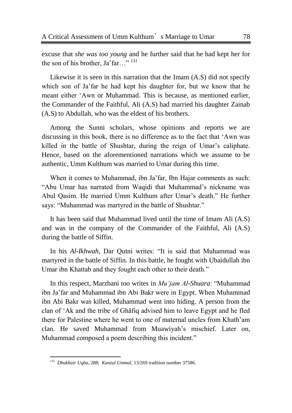excuse that *she was too young* and he further said that he had kept her for the son of his brother, Ja'far..."<sup>131</sup>

Likewise it is seen in this narration that the Imam (A.S) did not specify which son of Ja'far he had kept his daughter for, but we know that he meant either 'Awn or Muhammad. This is because, as mentioned earlier, the Commander of the Faithful, Ali (A.S) had married his daughter Zainab (A.S) to Abdullah, who was the eldest of his brothers.

Among the Sunni scholars, whose opinions and reports we are discussing in this book, there is no difference as to the fact that 'Awn was killed in the battle of Shushtar, during the reign of Umar's caliphate. Hence, based on the aforementioned narrations which we assume to be authentic, Umm Kulthum was married to Umar during this time.

When it comes to Muhammad, ibn Ja'far, Ibn Hajar comments as such: ―Abu Umar has narrated from Waqidi that Muhammad's nickname was Abul Qasim. He married Umm Kulthum after Umar's death." He further says: "Muhammad was martyred in the battle of Shushtar."

It has been said that Muhammad lived until the time of Imam Ali (A.S) and was in the company of the Commander of the Faithful, Ali (A.S) during the battle of Siffin.

In his *Al-Ikhwah*, Dar Outni writes: "It is said that Muhammad was martyred in the battle of Siffin. In this battle, he fought with Ubaidullah ibn Umar ibn Khattab and they fought each other to their death."

In this respect, Marzbani too writes in *Mu'jam Al-Shuara*: "Muhammad ibn Ja'far and Muhammad ibn Abi Bakr were in Egypt. When Muhammad ibn Abi Bakr was killed, Muhammad went into hiding. A person from the clan of ‗Ak and the tribe of Ghāfiq advised him to leave Egypt and he fled there for Palestine where he went to one of maternal uncles from Khath'am clan. He saved Muhammad from Muawiyah's mischief. Later on, Muhammad composed a poem describing this incident."

 131 *Dhakhair Uqba*, 288; *Kanzul Ummal,* 13/269 tradition number 37586.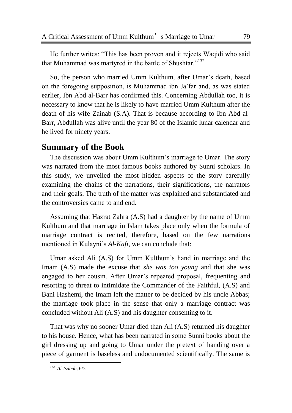He further writes: "This has been proven and it rejects Waqidi who said that Muhammad was martyred in the battle of Shushtar."<sup>132</sup>

So, the person who married Umm Kulthum, after Umar's death, based on the foregoing supposition, is Muhammad ibn Ja'far and, as was stated earlier, Ibn Abd al-Barr has confirmed this. Concerning Abdullah too, it is necessary to know that he is likely to have married Umm Kulthum after the death of his wife Zainab (S.A). That is because according to Ibn Abd al-Barr, Abdullah was alive until the year 80 of the Islamic lunar calendar and he lived for ninety years.

# **Summary of the Book**

The discussion was about Umm Kulthum's marriage to Umar. The story was narrated from the most famous books authored by Sunni scholars. In this study, we unveiled the most hidden aspects of the story carefully examining the chains of the narrations, their significations, the narrators and their goals. The truth of the matter was explained and substantiated and the controversies came to and end.

Assuming that Hazrat Zahra (A.S) had a daughter by the name of Umm Kulthum and that marriage in Islam takes place only when the formula of marriage contract is recited, therefore, based on the few narrations mentioned in Kulayni's *Al-Kafi,* we can conclude that:

Umar asked Ali (A.S) for Umm Kulthum's hand in marriage and the Imam (A.S) made the excuse that *she was too young* and that she was engaged to her cousin. After Umar's repeated proposal, frequenting and resorting to threat to intimidate the Commander of the Faithful, (A.S) and Bani Hashemi, the Imam left the matter to be decided by his uncle Abbas; the marriage took place in the sense that only a marriage contract was concluded without Ali (A.S) and his daughter consenting to it.

That was why no sooner Umar died than Ali (A.S) returned his daughter to his house. Hence, what has been narrated in some Sunni books about the girl dressing up and going to Umar under the pretext of handing over a piece of garment is baseless and undocumented scientifically. The same is

 132 *Al-Isabah,* 6/7.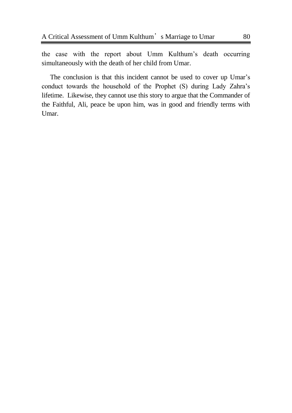the case with the report about Umm Kulthum's death occurring simultaneously with the death of her child from Umar.

The conclusion is that this incident cannot be used to cover up Umar's conduct towards the household of the Prophet (S) during Lady Zahra's lifetime. Likewise, they cannot use this story to argue that the Commander of the Faithful, Ali, peace be upon him, was in good and friendly terms with Umar.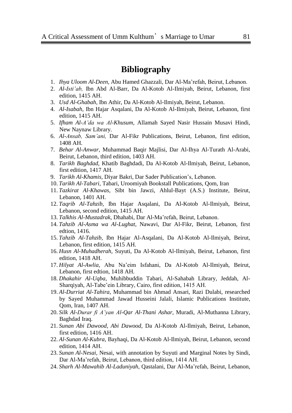# **Bibliography**

- 1. *Ihya Uloom Al-Deen,* Abu Hamed Ghazzali, Dar Al-Ma'refah, Beirut, Lebanon.
- 2. *Al-Isti"ab,* Ibn Abd Al-Barr, Da Al-Kotob Al-Ilmiyah, Beirut, Lebanon, first edition, 1415 AH.
- 3. *Usd Al-Ghabah,* Ibn Athir, Da Al-Kotob Al-Ilmiyah, Beirut, Lebanon.
- 4. *Al-Isabah,* Ibn Hajar Asqalani, Da Al-Kotob Al-Ilmiyah, Beirut, Lebanon, first edition, 1415 AH.
- 5. *Ifham Al-A"da wa Al-Khusum,* Allamah Sayed Nasir Hussain Musavi Hindi, New Naynaw Library.
- 6. *Al-Ansab, Sam"ani,* Dar Al-Fikr Publications, Beirut, Lebanon, first edition, 1408 AH.
- 7. *Behar Al-Anwar,* Muhammad Baqir Majlisi, Dar Al-Ihya Al-Turath Al-Arabi, Beirut, Lebanon, third edition, 1403 AH.
- 8. *Tarikh Baghdad,* Khatib Baghdadi, Da Al-Kotob Al-Ilmiyah, Beirut, Lebanon, first edition, 1417 AH.
- 9. *Tarikh Al-Khamis,* Diyar Bakri, Dar Sader Publication's, Lebanon.
- 10. *Tarikh Al-Tabari,* Tabari, Uroomiyah Bookstall Publications, Qom, Iran
- 11. *Tazkirat Al-Khawas,* Sibt bin Jawzi, Ahlul-Bayt (A.S.) Institute, Beirut, Lebanon, 1401 AH.
- 12. *Taqrib Al-Tahzib,* Ibn Hajar Asqalani, Da Al-Kotob Al-Ilmiyah, Beirut, Lebanon, second edition, 1415 AH.
- 13. *Talkhis Al-Mustadrak,* Dhahabi, Dar Al-Ma'refah, Beirut, Lebanon.
- 14. *Tahzib Al-Asma wa Al-Lughat*, Nawavi, Dar Al-Fikr, Beirut, Lebanon, first edtion, 1416.
- 15. *Tahzib Al-Tahzib,* Ibn Hajar Al-Asqalani, Da Al-Kotob Al-Ilmiyah, Beirut, Lebanon, first edition, 1415 AH.
- 16. *Husn Al-Muhadherah,* Suyuti, Da Al-Kotob Al-Ilmiyah, Beirut, Lebanon, first edition, 1418 AH.
- 17. *Hilyat Al-Awlia,* Abu Na'eim Isfahani, Da Al-Kotob Al-Ilmiyah, Beirut, Lebanon, first edtion, 1418 AH.
- 18. *Dhakahir Al-Uqba,* Muhibbuddin Tabari, Al-Sahabah Library, Jeddah, Al-Sharqiyah, Al-Tabe'ein Library, Cairo, first edition, 1415 AH.
- 19. *Al-Durriat Al-Tahira,* Muhammad bin Ahmad Ansari, Razi Dulabi, researched by Sayed Muhammad Jawad Husseini Jalali, Islamic Publications Institute, Qom, Iran, 1407 AH.
- 20. *Silk Al-Durar fi A"yan Al-Qar Al-Thani Ashar,* Muradi, Al-Muthanna Library, Baghdad Iraq.
- 21. *Sunan Abi Dawood, Abi Dawood,* Da Al-Kotob Al-Ilmiyah, Beirut, Lebanon, first edition, 1416 AH.
- 22. *Al-Sunan Al-Kubra,* Bayhaqi, Da Al-Kotob Al-Ilmiyah, Beirut, Lebanon, second edition, 1414 AH.
- 23. *Sunan Al-Nesai,* Nesai, with annotation by Suyuti and Marginal Notes by Sindi, Dar Al-Ma'refah, Beirut, Lebanon, third edition, 1414 AH.
- 24. *Sharh Al-Mawahib Al-Laduniyah,* Qastalani, Dar Al-Ma'refah, Beirut, Lebanon,